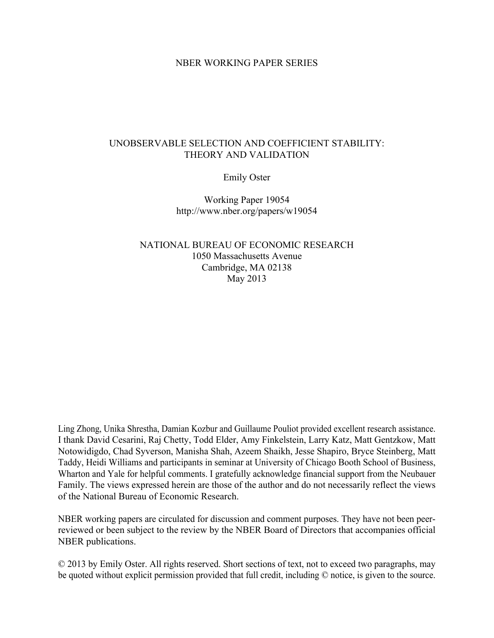# NBER WORKING PAPER SERIES

# UNOBSERVABLE SELECTION AND COEFFICIENT STABILITY: THEORY AND VALIDATION

Emily Oster

Working Paper 19054 http://www.nber.org/papers/w19054

NATIONAL BUREAU OF ECONOMIC RESEARCH 1050 Massachusetts Avenue Cambridge, MA 02138 May 2013

Ling Zhong, Unika Shrestha, Damian Kozbur and Guillaume Pouliot provided excellent research assistance. I thank David Cesarini, Raj Chetty, Todd Elder, Amy Finkelstein, Larry Katz, Matt Gentzkow, Matt Notowidigdo, Chad Syverson, Manisha Shah, Azeem Shaikh, Jesse Shapiro, Bryce Steinberg, Matt Taddy, Heidi Williams and participants in seminar at University of Chicago Booth School of Business, Wharton and Yale for helpful comments. I gratefully acknowledge financial support from the Neubauer Family. The views expressed herein are those of the author and do not necessarily reflect the views of the National Bureau of Economic Research.

NBER working papers are circulated for discussion and comment purposes. They have not been peerreviewed or been subject to the review by the NBER Board of Directors that accompanies official NBER publications.

© 2013 by Emily Oster. All rights reserved. Short sections of text, not to exceed two paragraphs, may be quoted without explicit permission provided that full credit, including © notice, is given to the source.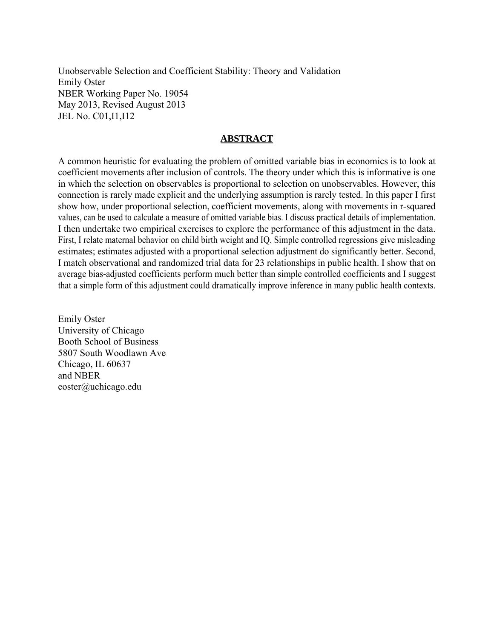Unobservable Selection and Coefficient Stability: Theory and Validation Emily Oster NBER Working Paper No. 19054 May 2013, Revised August 2013 JEL No. C01,I1,I12

# **ABSTRACT**

A common heuristic for evaluating the problem of omitted variable bias in economics is to look at coefficient movements after inclusion of controls. The theory under which this is informative is one in which the selection on observables is proportional to selection on unobservables. However, this connection is rarely made explicit and the underlying assumption is rarely tested. In this paper I first show how, under proportional selection, coefficient movements, along with movements in r-squared values, can be used to calculate a measure of omitted variable bias. I discuss practical details of implementation. I then undertake two empirical exercises to explore the performance of this adjustment in the data. First, I relate maternal behavior on child birth weight and IQ. Simple controlled regressions give misleading estimates; estimates adjusted with a proportional selection adjustment do significantly better. Second, I match observational and randomized trial data for 23 relationships in public health. I show that on average bias-adjusted coefficients perform much better than simple controlled coefficients and I suggest that a simple form of this adjustment could dramatically improve inference in many public health contexts.

Emily Oster University of Chicago Booth School of Business 5807 South Woodlawn Ave Chicago, IL 60637 and NBER eoster@uchicago.edu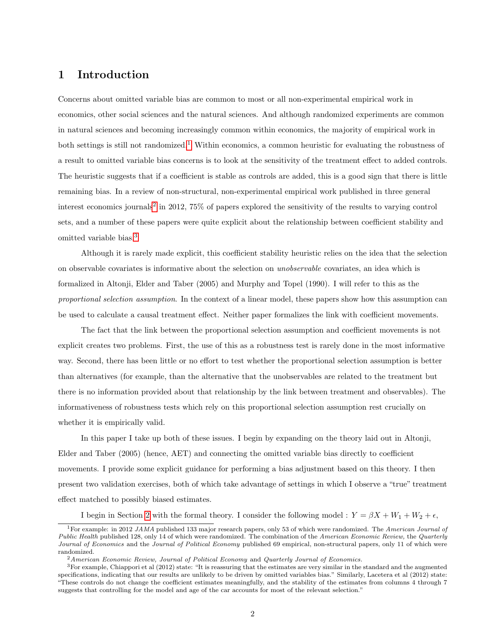# 1 Introduction

Concerns about omitted variable bias are common to most or all non-experimental empirical work in economics, other social sciences and the natural sciences. And although randomized experiments are common in natural sciences and becoming increasingly common within economics, the majority of empirical work in both settings is still not randomized.[1](#page-2-0) Within economics, a common heuristic for evaluating the robustness of a result to omitted variable bias concerns is to look at the sensitivity of the treatment effect to added controls. The heuristic suggests that if a coefficient is stable as controls are added, this is a good sign that there is little remaining bias. In a review of non-structural, non-experimental empirical work published in three general interest economics journals<sup>[2](#page-2-1)</sup> in 2012, 75% of papers explored the sensitivity of the results to varying control sets, and a number of these papers were quite explicit about the relationship between coefficient stability and omitted variable bias.[3](#page-2-2)

Although it is rarely made explicit, this coefficient stability heuristic relies on the idea that the selection on observable covariates is informative about the selection on unobservable covariates, an idea which is formalized in Altonji, Elder and Taber (2005) and Murphy and Topel (1990). I will refer to this as the proportional selection assumption. In the context of a linear model, these papers show how this assumption can be used to calculate a causal treatment effect. Neither paper formalizes the link with coefficient movements.

The fact that the link between the proportional selection assumption and coefficient movements is not explicit creates two problems. First, the use of this as a robustness test is rarely done in the most informative way. Second, there has been little or no effort to test whether the proportional selection assumption is better than alternatives (for example, than the alternative that the unobservables are related to the treatment but there is no information provided about that relationship by the link between treatment and observables). The informativeness of robustness tests which rely on this proportional selection assumption rest crucially on whether it is empirically valid.

In this paper I take up both of these issues. I begin by expanding on the theory laid out in Altonji, Elder and Taber (2005) (hence, AET) and connecting the omitted variable bias directly to coefficient movements. I provide some explicit guidance for performing a bias adjustment based on this theory. I then present two validation exercises, both of which take advantage of settings in which I observe a "true" treatment effect matched to possibly biased estimates.

I begin in Section [2](#page-5-0) with the formal theory. I consider the following model :  $Y = \beta X + W_1 + W_2 + \epsilon$ ,

<span id="page-2-0"></span><sup>&</sup>lt;sup>1</sup>For example: in 2012 JAMA published 133 major research papers, only 53 of which were randomized. The American Journal of Public Health published 128, only 14 of which were randomized. The combination of the American Economic Review, the Quarterly Journal of Economics and the Journal of Political Economy published 69 empirical, non-structural papers, only 11 of which were randomized.

<span id="page-2-2"></span><span id="page-2-1"></span> $2$ American Economic Review, Journal of Political Economy and Quarterly Journal of Economics.

<sup>3</sup>For example, Chiappori et al (2012) state: "It is reassuring that the estimates are very similar in the standard and the augmented specifications, indicating that our results are unlikely to be driven by omitted variables bias." Similarly, Lacetera et al (2012) state: "These controls do not change the coefficient estimates meaningfully, and the stability of the estimates from columns 4 through 7 suggests that controlling for the model and age of the car accounts for most of the relevant selection."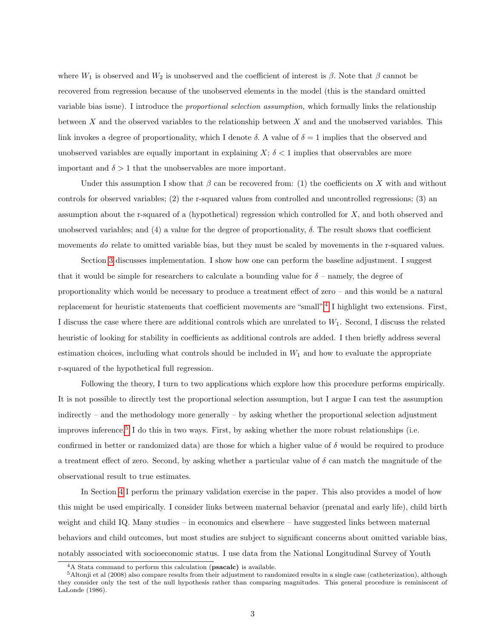where  $W_1$  is observed and  $W_2$  is unobserved and the coefficient of interest is  $\beta$ . Note that  $\beta$  cannot be recovered from regression because of the unobserved elements in the model (this is the standard omitted variable bias issue). I introduce the proportional selection assumption, which formally links the relationship between  $X$  and the observed variables to the relationship between  $X$  and and the unobserved variables. This link invokes a degree of proportionality, which I denote  $\delta$ . A value of  $\delta = 1$  implies that the observed and unobserved variables are equally important in explaining  $X$ ;  $\delta$  < 1 implies that observables are more important and  $\delta > 1$  that the unobservables are more important.

Under this assumption I show that  $\beta$  can be recovered from: (1) the coefficients on X with and without controls for observed variables; (2) the r-squared values from controlled and uncontrolled regressions; (3) an assumption about the r-squared of a (hypothetical) regression which controlled for  $X$ , and both observed and unobserved variables; and (4) a value for the degree of proportionality,  $\delta$ . The result shows that coefficient movements do relate to omitted variable bias, but they must be scaled by movements in the r-squared values.

Section [3](#page-7-0) discusses implementation. I show how one can perform the baseline adjustment. I suggest that it would be simple for researchers to calculate a bounding value for  $\delta$  – namely, the degree of proportionality which would be necessary to produce a treatment effect of zero – and this would be a natural replacement for heuristic statements that coefficient movements are "small".<sup>[4](#page-3-0)</sup> I highlight two extensions. First, I discuss the case where there are additional controls which are unrelated to  $W_1$ . Second, I discuss the related heuristic of looking for stability in coefficients as additional controls are added. I then briefly address several estimation choices, including what controls should be included in  $W_1$  and how to evaluate the appropriate r-squared of the hypothetical full regression.

Following the theory, I turn to two applications which explore how this procedure performs empirically. It is not possible to directly test the proportional selection assumption, but I argue I can test the assumption indirectly – and the methodology more generally – by asking whether the proportional selection adjustment improves inference.[5](#page-3-1) I do this in two ways. First, by asking whether the more robust relationships (i.e. confirmed in better or randomized data) are those for which a higher value of  $\delta$  would be required to produce a treatment effect of zero. Second, by asking whether a particular value of  $\delta$  can match the magnitude of the observational result to true estimates.

In Section [4](#page-13-0) I perform the primary validation exercise in the paper. This also provides a model of how this might be used empirically. I consider links between maternal behavior (prenatal and early life), child birth weight and child IQ. Many studies – in economics and elsewhere – have suggested links between maternal behaviors and child outcomes, but most studies are subject to significant concerns about omitted variable bias, notably associated with socioeconomic status. I use data from the National Longitudinal Survey of Youth

<span id="page-3-1"></span><span id="page-3-0"></span><sup>&</sup>lt;sup>4</sup>A Stata command to perform this calculation (psacalc) is available.

 $5$ Altonji et al (2008) also compare results from their adjustment to randomized results in a single case (catheterization), although they consider only the test of the null hypothesis rather than comparing magnitudes. This general procedure is reminiscent of LaLonde (1986).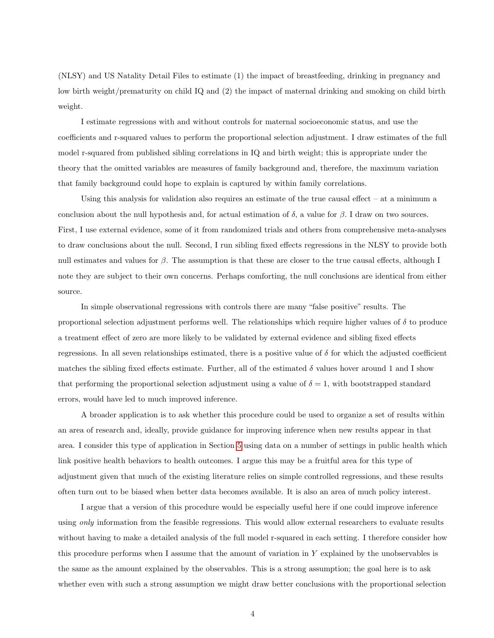(NLSY) and US Natality Detail Files to estimate (1) the impact of breastfeeding, drinking in pregnancy and low birth weight/prematurity on child IQ and (2) the impact of maternal drinking and smoking on child birth weight.

I estimate regressions with and without controls for maternal socioeconomic status, and use the coefficients and r-squared values to perform the proportional selection adjustment. I draw estimates of the full model r-squared from published sibling correlations in IQ and birth weight; this is appropriate under the theory that the omitted variables are measures of family background and, therefore, the maximum variation that family background could hope to explain is captured by within family correlations.

Using this analysis for validation also requires an estimate of the true causal effect  $-$  at a minimum a conclusion about the null hypothesis and, for actual estimation of δ, a value for β. I draw on two sources. First, I use external evidence, some of it from randomized trials and others from comprehensive meta-analyses to draw conclusions about the null. Second, I run sibling fixed effects regressions in the NLSY to provide both null estimates and values for  $\beta$ . The assumption is that these are closer to the true causal effects, although I note they are subject to their own concerns. Perhaps comforting, the null conclusions are identical from either source.

In simple observational regressions with controls there are many "false positive" results. The proportional selection adjustment performs well. The relationships which require higher values of  $\delta$  to produce a treatment effect of zero are more likely to be validated by external evidence and sibling fixed effects regressions. In all seven relationships estimated, there is a positive value of  $\delta$  for which the adjusted coefficient matches the sibling fixed effects estimate. Further, all of the estimated  $\delta$  values hover around 1 and I show that performing the proportional selection adjustment using a value of  $\delta = 1$ , with bootstrapped standard errors, would have led to much improved inference.

A broader application is to ask whether this procedure could be used to organize a set of results within an area of research and, ideally, provide guidance for improving inference when new results appear in that area. I consider this type of application in Section [5](#page-18-0) using data on a number of settings in public health which link positive health behaviors to health outcomes. I argue this may be a fruitful area for this type of adjustment given that much of the existing literature relies on simple controlled regressions, and these results often turn out to be biased when better data becomes available. It is also an area of much policy interest.

I argue that a version of this procedure would be especially useful here if one could improve inference using only information from the feasible regressions. This would allow external researchers to evaluate results without having to make a detailed analysis of the full model r-squared in each setting. I therefore consider how this procedure performs when I assume that the amount of variation in  $Y$  explained by the unobservables is the same as the amount explained by the observables. This is a strong assumption; the goal here is to ask whether even with such a strong assumption we might draw better conclusions with the proportional selection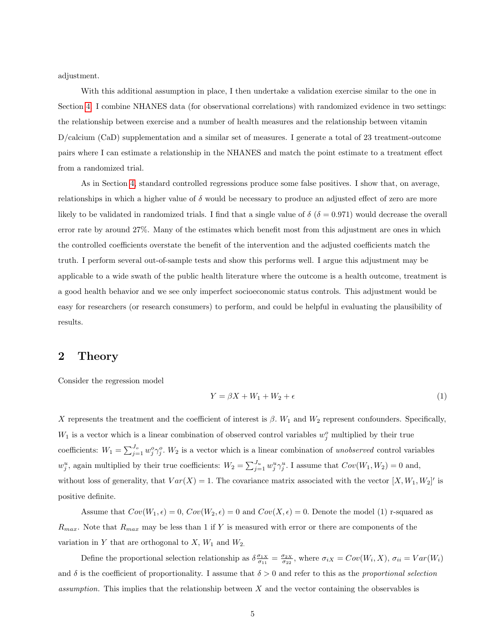adjustment.

With this additional assumption in place, I then undertake a validation exercise similar to the one in Section [4.](#page-13-0) I combine NHANES data (for observational correlations) with randomized evidence in two settings: the relationship between exercise and a number of health measures and the relationship between vitamin D/calcium (CaD) supplementation and a similar set of measures. I generate a total of 23 treatment-outcome pairs where I can estimate a relationship in the NHANES and match the point estimate to a treatment effect from a randomized trial.

As in Section [4,](#page-13-0) standard controlled regressions produce some false positives. I show that, on average, relationships in which a higher value of  $\delta$  would be necessary to produce an adjusted effect of zero are more likely to be validated in randomized trials. I find that a single value of  $\delta$  ( $\delta = 0.971$ ) would decrease the overall error rate by around 27%. Many of the estimates which benefit most from this adjustment are ones in which the controlled coefficients overstate the benefit of the intervention and the adjusted coefficients match the truth. I perform several out-of-sample tests and show this performs well. I argue this adjustment may be applicable to a wide swath of the public health literature where the outcome is a health outcome, treatment is a good health behavior and we see only imperfect socioeconomic status controls. This adjustment would be easy for researchers (or research consumers) to perform, and could be helpful in evaluating the plausibility of results.

# <span id="page-5-0"></span>2 Theory

Consider the regression model

$$
Y = \beta X + W_1 + W_2 + \epsilon \tag{1}
$$

X represents the treatment and the coefficient of interest is  $\beta$ . W<sub>1</sub> and W<sub>2</sub> represent confounders. Specifically,  $W_1$  is a vector which is a linear combination of observed control variables  $w_j^o$  multiplied by their true coefficients:  $W_1 = \sum_{j=1}^{J_o} w_j^o \gamma_j^o$ .  $W_2$  is a vector which is a linear combination of unobserved control variables  $w_j^u$ , again multiplied by their true coefficients:  $W_2 = \sum_{j=1}^{J_u} w_j^u \gamma_j^u$ . I assume that  $Cov(W_1, W_2) = 0$  and, without loss of generality, that  $Var(X) = 1$ . The covariance matrix associated with the vector  $[X, W_1, W_2]'$  is positive definite.

Assume that  $Cov(W_1, \epsilon) = 0$ ,  $Cov(W_2, \epsilon) = 0$  and  $Cov(X, \epsilon) = 0$ . Denote the model (1) r-squared as  $R_{max}$ . Note that  $R_{max}$  may be less than 1 if Y is measured with error or there are components of the variation in Y that are orthogonal to  $X$ ,  $W_1$  and  $W_2$ .

Define the proportional selection relationship as  $\delta \frac{\sigma_{1X}}{\sigma_{11}} = \frac{\sigma_{2X}}{\sigma_{22}}$ , where  $\sigma_{iX} = Cov(W_i, X)$ ,  $\sigma_{ii} = Var(W_i)$ and  $\delta$  is the coefficient of proportionality. I assume that  $\delta > 0$  and refer to this as the proportional selection assumption. This implies that the relationship between  $X$  and the vector containing the observables is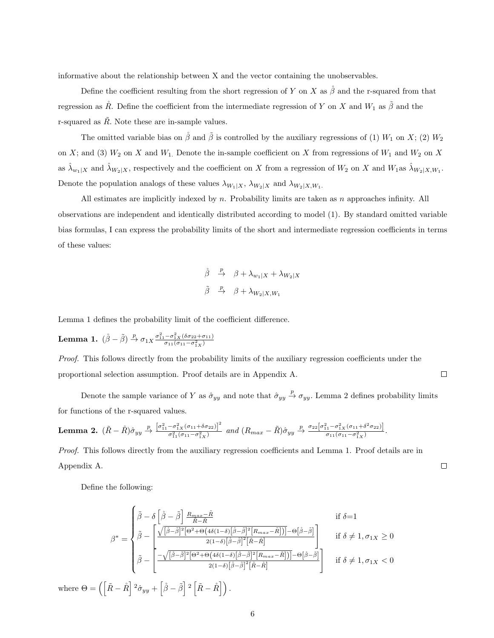informative about the relationship between X and the vector containing the unobservables.

Define the coefficient resulting from the short regression of Y on X as  $\stackrel{\circ}{\beta}$  and the r-squared from that regression as  $\mathring{R}$ . Define the coefficient from the intermediate regression of Y on X and  $W_1$  as  $\tilde{\beta}$  and the r-squared as  $\tilde{R}$ . Note these are in-sample values.

The omitted variable bias on  $\beta$  and  $\tilde{\beta}$  is controlled by the auxiliary regressions of (1)  $W_1$  on X; (2)  $W_2$ on X; and (3)  $W_2$  on X and  $W_1$ . Denote the in-sample coefficient on X from regressions of  $W_1$  and  $W_2$  on X as  $\hat{\lambda}_{w_1|X}$  and  $\hat{\lambda}_{W_2|X}$ , respectively and the coefficient on X from a regression of  $W_2$  on X and  $W_1$  as  $\hat{\lambda}_{W_2|X,W_1}$ . Denote the population analogs of these values  $\lambda_{W_1|X}, \, \lambda_{W_2|X}$  and  $\lambda_{W_2|X,W_1}$ .

All estimates are implicitly indexed by  $n$ . Probability limits are taken as  $n$  approaches infinity. All observations are independent and identically distributed according to model (1). By standard omitted variable bias formulas, I can express the probability limits of the short and intermediate regression coefficients in terms of these values:

$$
\begin{array}{ccc}\n\dot{\beta} & \xrightarrow{p} & \beta + \lambda_{w_1|X} + \lambda_{W_2|X} \\
\tilde{\beta} & \xrightarrow{p} & \beta + \lambda_{W_2|X,W_1}\n\end{array}
$$

Lemma 1 defines the probability limit of the coefficient difference.

Lemma 1.  $(\mathring{\beta} - \tilde{\beta}) \stackrel{p}{\rightarrow} \sigma_{1X} \frac{\sigma_{11}^2 - \sigma_{1X}^2 (\delta \sigma_{22} + \sigma_{11})}{\sigma_{11}(\sigma_{11} - \sigma_{1X}^2)}$ 

Proof. This follows directly from the probability limits of the auxiliary regression coefficients under the proportional selection assumption. Proof details are in Appendix A.

Denote the sample variance of Y as  $\hat{\sigma}_{yy}$  and note that  $\hat{\sigma}_{yy} \stackrel{p}{\to} \sigma_{yy}$ . Lemma 2 defines probability limits for functions of the r-squared values.

 $\Box$ 

 $\Box$ 

**Lemma 2.** 
$$
(\tilde{R} - \mathring{R})\hat{\sigma}_{yy} \xrightarrow{p} \frac{[\sigma_{11}^2 - \sigma_{1X}^2(\sigma_{11} + \delta \sigma_{22})]^2}{\sigma_{11}^2(\sigma_{11} - \sigma_{1X}^2)} \text{ and } (R_{max} - \tilde{R})\hat{\sigma}_{yy} \xrightarrow{p} \frac{\sigma_{22}[\sigma_{11}^2 - \sigma_{1X}^2(\sigma_{11} + \delta^2 \sigma_{22})]}{\sigma_{11}(\sigma_{11} - \sigma_{1X}^2)}.
$$

Proof. This follows directly from the auxiliary regression coefficients and Lemma 1. Proof details are in Appendix A.

Define the following:

$$
\beta^* = \begin{cases}\n\tilde{\beta} - \delta \left[ \dot{\tilde{\beta}} - \tilde{\beta} \right] \frac{R_{max} - \tilde{R}}{\tilde{R} - \tilde{R}} & \text{if } \delta = 1 \\
\tilde{\beta} - \left[ \frac{\sqrt{[\dot{\beta} - \tilde{\beta}]}^2 [\Theta^2 + \Theta(4\delta(1 - \delta)[\dot{\beta} - \tilde{\beta}]^2 [R_{max} - \tilde{R}])] - \Theta[\dot{\beta} - \tilde{\beta}]}{2(1 - \delta)[\tilde{\beta} - \tilde{\beta}]^2 [\tilde{R} - \tilde{R}]} & \text{if } \delta \neq 1, \sigma_{1X} \ge 0 \\
\tilde{\beta} - \left[ \frac{-\sqrt{[\dot{\beta} - \tilde{\beta}]^2 [\Theta^2 + \Theta(4\delta(1 - \delta)[\dot{\beta} - \tilde{\beta}]^2 [R_{max} - \tilde{R}])] - \Theta[\dot{\beta} - \tilde{\beta}]}{2(1 - \delta)[\tilde{\beta} - \tilde{\beta}]^2 [\tilde{R} - \tilde{R}]} \right] & \text{if } \delta \neq 1, \sigma_{1X} < 0\n\end{cases}
$$
\nwhere  $\Theta = \left( \left[ \tilde{R} - \mathring{R} \right]^2 \hat{\sigma}_{yy} + \left[ \dot{\beta} - \tilde{\beta} \right]^2 \left[ \tilde{R} - \mathring{R} \right] \right)$ .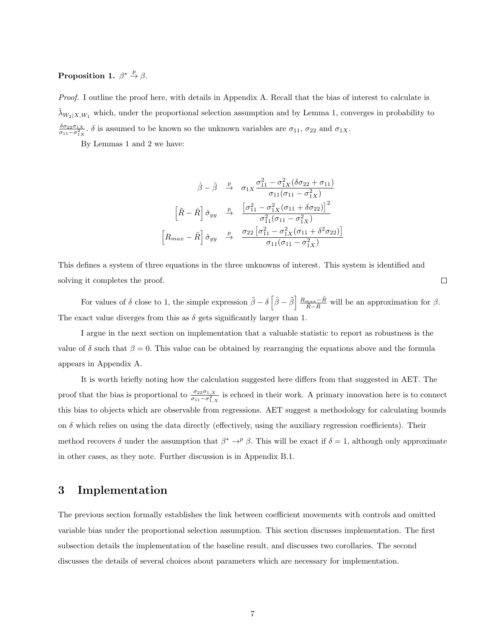# Proposition 1.  $\beta^* \stackrel{p}{\rightarrow} \beta$ .

Proof. I outline the proof here, with details in Appendix A. Recall that the bias of interest to calculate is  $\lambda_{W_2|X,W_1}$  which, under the proportional selection assumption and by Lemma 1, converges in probability to  $\frac{\delta \sigma_{22} \sigma_{1X}}{\sigma_{11}-\sigma_{1X}^2}$ .  $\delta$  is assumed to be known so the unknown variables are  $\sigma_{11}$ ,  $\sigma_{22}$  and  $\sigma_{1X}$ .

By Lemmas 1 and 2 we have:

$$
\stackrel{\circ}{\beta} - \stackrel{\circ}{\beta} \xrightarrow{\quad p} \quad \sigma_{1X} \frac{\sigma_{11}^2 - \sigma_{1X}^2 (\delta \sigma_{22} + \sigma_{11})}{\sigma_{11} (\sigma_{11} - \sigma_{1X}^2)}
$$
\n
$$
\left[ \tilde{R} - \stackrel{\circ}{R} \right] \hat{\sigma}_{yy} \xrightarrow{\quad p} \quad \frac{\left[ \sigma_{11}^2 - \sigma_{1X}^2 (\sigma_{11} + \delta \sigma_{22}) \right]^2}{\sigma_{11}^2 (\sigma_{11} - \sigma_{1X}^2)}
$$
\n
$$
\left[ R_{max} - \stackrel{\circ}{R} \right] \hat{\sigma}_{yy} \xrightarrow{\quad p} \quad \frac{\sigma_{22} \left[ \sigma_{11}^2 - \sigma_{1X}^2 (\sigma_{11} + \delta^2 \sigma_{22}) \right]}{\sigma_{11} (\sigma_{11} - \sigma_{1X}^2)}
$$

This defines a system of three equations in the three unknowns of interest. This system is identified and solving it completes the proof.

For values of  $\delta$  close to 1, the simple expression  $\tilde{\beta} - \delta \left[\hat{\beta} - \tilde{\beta}\right] \frac{R_{max}-\tilde{R}}{\tilde{R}-\tilde{R}}$  will be an approximation for  $\beta$ . The exact value diverges from this as  $\delta$  gets significantly larger than 1.

I argue in the next section on implementation that a valuable statistic to report as robustness is the value of  $\delta$  such that  $\beta = 0$ . This value can be obtained by rearranging the equations above and the formula appears in Appendix A.

It is worth briefly noting how the calculation suggested here differs from that suggested in AET. The proof that the bias is proportional to  $\frac{\sigma_{22}\sigma_{1,X}}{\sigma_{11}-\sigma_{1,X}^2}$  is echoed in their work. A primary innovation here is to connect this bias to objects which are observable from regressions. AET suggest a methodology for calculating bounds on  $\delta$  which relies on using the data directly (effectively, using the auxiliary regression coefficients). Their method recovers  $\delta$  under the assumption that  $\beta^* \to^p \beta$ . This will be exact if  $\delta = 1$ , although only approximate in other cases, as they note. Further discussion is in Appendix B.1.

# <span id="page-7-0"></span>3 Implementation

The previous section formally establishes the link between coefficient movements with controls and omitted variable bias under the proportional selection assumption. This section discusses implementation. The first subsection details the implementation of the baseline result, and discusses two corollaries. The second discusses the details of several choices about parameters which are necessary for implementation.

 $\Box$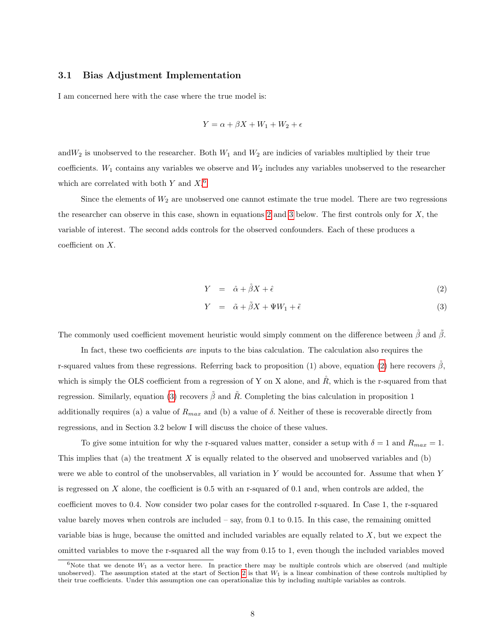# 3.1 Bias Adjustment Implementation

I am concerned here with the case where the true model is:

$$
Y = \alpha + \beta X + W_1 + W_2 + \epsilon
$$

and  $W_2$  is unobserved to the researcher. Both  $W_1$  and  $W_2$  are indicies of variables multiplied by their true coefficients.  $W_1$  contains any variables we observe and  $W_2$  includes any variables unobserved to the researcher which are correlated with both  $Y$  and  $X<sup>6</sup>$  $X<sup>6</sup>$  $X<sup>6</sup>$ 

Since the elements of  $W_2$  are unobserved one cannot estimate the true model. There are two regressions the researcher can observe in this case, shown in equations [2](#page-8-1) and [3](#page-8-1) below. The first controls only for X, the variable of interest. The second adds controls for the observed confounders. Each of these produces a coefficient on X.

<span id="page-8-1"></span>
$$
Y = \hat{\alpha} + \mathring{\beta}X + \hat{\epsilon} \tag{2}
$$

$$
Y = \tilde{\alpha} + \tilde{\beta}X + \Psi W_1 + \tilde{\epsilon}
$$
\n(3)

The commonly used coefficient movement heuristic would simply comment on the difference between  $\hat{\beta}$  and  $\hat{\beta}$ .

In fact, these two coefficients are inputs to the bias calculation. The calculation also requires the r-squared values from these regressions. Referring back to proposition (1) above, equation [\(2\)](#page-8-1) here recovers  $\beta$ , which is simply the OLS coefficient from a regression of Y on X alone, and  $R$ , which is the r-squared from that regression. Similarly, equation [\(3\)](#page-8-1) recovers  $\tilde{\beta}$  and  $\tilde{R}$ . Completing the bias calculation in proposition 1 additionally requires (a) a value of  $R_{max}$  and (b) a value of  $\delta$ . Neither of these is recoverable directly from regressions, and in Section 3.2 below I will discuss the choice of these values.

To give some intuition for why the r-squared values matter, consider a setup with  $\delta = 1$  and  $R_{max} = 1$ . This implies that (a) the treatment X is equally related to the observed and unobserved variables and (b) were we able to control of the unobservables, all variation in Y would be accounted for. Assume that when Y is regressed on  $X$  alone, the coefficient is 0.5 with an r-squared of 0.1 and, when controls are added, the coefficient moves to 0.4. Now consider two polar cases for the controlled r-squared. In Case 1, the r-squared value barely moves when controls are included – say, from 0.1 to 0.15. In this case, the remaining omitted variable bias is huge, because the omitted and included variables are equally related to  $X$ , but we expect the omitted variables to move the r-squared all the way from 0.15 to 1, even though the included variables moved

<span id="page-8-0"></span> $6$ Note that we denote  $W_1$  as a vector here. In practice there may be multiple controls which are observed (and multiple unobserved). The assumption stated at the start of Section [2](#page-5-0) is that  $W_1$  is a linear combination of these controls multiplied by their true coefficients. Under this assumption one can operationalize this by including multiple variables as controls.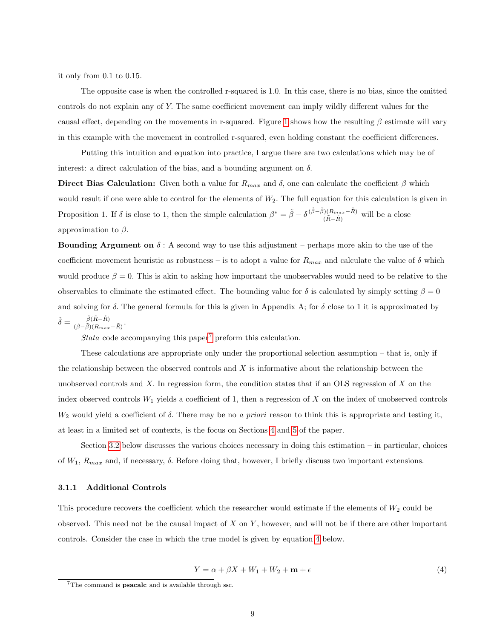it only from 0.1 to 0.15.

The opposite case is when the controlled r-squared is 1.0. In this case, there is no bias, since the omitted controls do not explain any of Y. The same coefficient movement can imply wildly different values for the causal effect, depending on the movements in r-squared. Figure [1](#page-29-0) shows how the resulting  $\beta$  estimate will vary in this example with the movement in controlled r-squared, even holding constant the coefficient differences.

Putting this intuition and equation into practice, I argue there are two calculations which may be of interest: a direct calculation of the bias, and a bounding argument on  $\delta$ .

Direct Bias Calculation: Given both a value for  $R_{max}$  and  $\delta$ , one can calculate the coefficient  $\beta$  which would result if one were able to control for the elements of  $W_2$ . The full equation for this calculation is given in Proposition 1. If  $\delta$  is close to 1, then the simple calculation  $\beta^* = \tilde{\beta} - \delta \frac{(\hat{\beta} - \tilde{\beta})(R_{max} - \tilde{R})}{(\tilde{\beta} - \tilde{\beta})}$  $\frac{(\tilde{R}_{max}-R)}{(\tilde{R}-\tilde{R})}$  will be a close approximation to  $\beta$ .

**Bounding Argument on**  $\delta$ : A second way to use this adjustment – perhaps more akin to the use of the coefficient movement heuristic as robustness – is to adopt a value for  $R_{max}$  and calculate the value of  $\delta$  which would produce  $\beta = 0$ . This is akin to asking how important the unobservables would need to be relative to the observables to eliminate the estimated effect. The bounding value for  $\delta$  is calculated by simply setting  $\beta = 0$ and solving for  $\delta$ . The general formula for this is given in Appendix A; for  $\delta$  close to 1 it is approximated by  $\hat{\delta} = \frac{\tilde{\beta}(\tilde{R}-\tilde{R})}{\tilde{\beta}(\tilde{\beta})\tilde{\beta}}$  $\frac{\beta(R-R)}{(\mathring{\beta}-\mathring{\beta})(R_{max}-\mathring{R})}.$ 

Stata code accompanying this paper<sup>[7](#page-9-0)</sup> preform this calculation.

These calculations are appropriate only under the proportional selection assumption – that is, only if the relationship between the observed controls and  $X$  is informative about the relationship between the unobserved controls and  $X$ . In regression form, the condition states that if an OLS regression of  $X$  on the index observed controls  $W_1$  yields a coefficient of 1, then a regression of X on the index of unobserved controls  $W_2$  would yield a coefficient of  $\delta$ . There may be no a priori reason to think this is appropriate and testing it, at least in a limited set of contexts, is the focus on Sections [4](#page-13-0) and [5](#page-18-0) of the paper.

Section [3.2](#page-11-0) below discusses the various choices necessary in doing this estimation – in particular, choices of  $W_1$ ,  $R_{max}$  and, if necessary,  $\delta$ . Before doing that, however, I briefly discuss two important extensions.

### <span id="page-9-2"></span>3.1.1 Additional Controls

This procedure recovers the coefficient which the researcher would estimate if the elements of  $W_2$  could be observed. This need not be the causal impact of  $X$  on  $Y$ , however, and will not be if there are other important controls. Consider the case in which the true model is given by equation [4](#page-9-1) below.

<span id="page-9-1"></span>
$$
Y = \alpha + \beta X + W_1 + W_2 + \mathbf{m} + \epsilon \tag{4}
$$

<span id="page-9-0"></span><sup>7</sup>The command is psacalc and is available through ssc.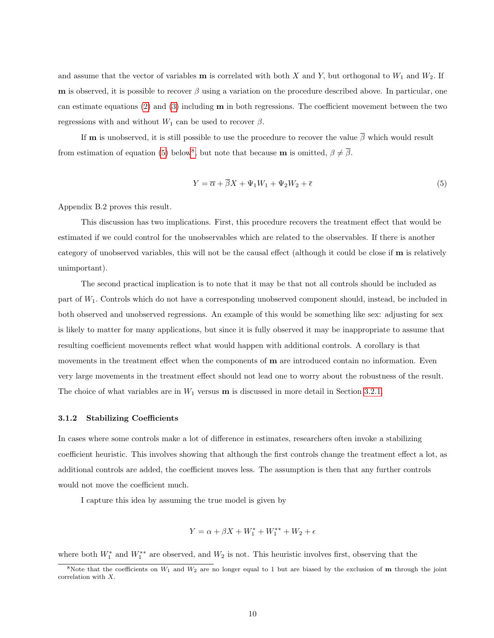and assume that the vector of variables **m** is correlated with both X and Y, but orthogonal to  $W_1$  and  $W_2$ . If **m** is observed, it is possible to recover  $\beta$  using a variation on the procedure described above. In particular, one can estimate equations  $(2)$  and  $(3)$  including **m** in both regressions. The coefficient movement between the two regressions with and without  $W_1$  can be used to recover  $\beta$ .

If **m** is unobserved, it is still possible to use the procedure to recover the value  $\beta$  which would result from estimation of equation [\(5\)](#page-10-0) below<sup>[8](#page-10-1)</sup>, but note that because **m** is omitted,  $\beta \neq \overline{\beta}$ .

<span id="page-10-0"></span>
$$
Y = \overline{\alpha} + \overline{\beta}X + \Psi_1 W_1 + \Psi_2 W_2 + \overline{\epsilon}
$$
\n<sup>(5)</sup>

Appendix B.2 proves this result.

This discussion has two implications. First, this procedure recovers the treatment effect that would be estimated if we could control for the unobservables which are related to the observables. If there is another category of unobserved variables, this will not be the causal effect (although it could be close if m is relatively unimportant).

The second practical implication is to note that it may be that not all controls should be included as part of W1. Controls which do not have a corresponding unobserved component should, instead, be included in both observed and unobserved regressions. An example of this would be something like sex: adjusting for sex is likely to matter for many applications, but since it is fully observed it may be inappropriate to assume that resulting coefficient movements reflect what would happen with additional controls. A corollary is that movements in the treatment effect when the components of **m** are introduced contain no information. Even very large movements in the treatment effect should not lead one to worry about the robustness of the result. The choice of what variables are in  $W_1$  versus **m** is discussed in more detail in Section [3.2.1.](#page-11-1)

### <span id="page-10-2"></span>3.1.2 Stabilizing Coefficients

In cases where some controls make a lot of difference in estimates, researchers often invoke a stabilizing coefficient heuristic. This involves showing that although the first controls change the treatment effect a lot, as additional controls are added, the coefficient moves less. The assumption is then that any further controls would not move the coefficient much.

I capture this idea by assuming the true model is given by

$$
Y = \alpha + \beta X + W_1^* + W_1^{**} + W_2 + \epsilon
$$

where both  $W_1^*$  and  $W_1^{**}$  are observed, and  $W_2$  is not. This heuristic involves first, observing that the

<span id="page-10-1"></span><sup>&</sup>lt;sup>8</sup>Note that the coefficients on  $W_1$  and  $W_2$  are no longer equal to 1 but are biased by the exclusion of **m** through the joint correlation with X.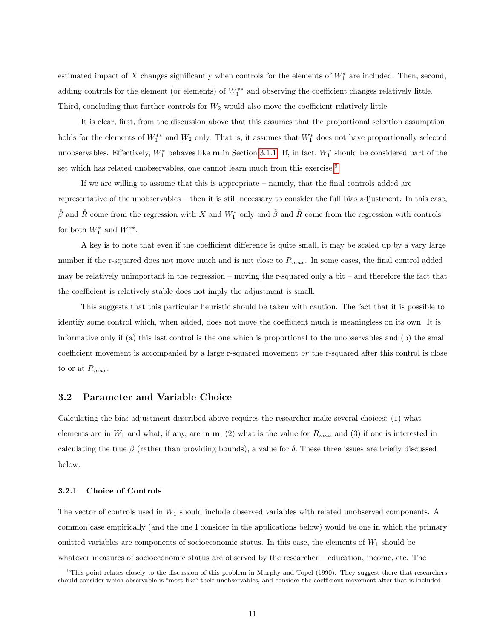estimated impact of X changes significantly when controls for the elements of  $W_1^*$  are included. Then, second, adding controls for the element (or elements) of  $W_1^{**}$  and observing the coefficient changes relatively little. Third, concluding that further controls for  $W_2$  would also move the coefficient relatively little.

It is clear, first, from the discussion above that this assumes that the proportional selection assumption holds for the elements of  $W_1^{**}$  and  $W_2$  only. That is, it assumes that  $W_1^*$  does not have proportionally selected unobservables. Effectively,  $W_1^*$  behaves like **m** in Section [3.1.1.](#page-9-2) If, in fact,  $W_1^*$  should be considered part of the set which has related unobservables, one cannot learn much from this exercise.<sup>[9](#page-11-2)</sup>

If we are willing to assume that this is appropriate – namely, that the final controls added are representative of the unobservables – then it is still necessary to consider the full bias adjustment. In this case,  $\hat{\beta}$  and  $\hat{R}$  come from the regression with X and  $W_1^*$  only and  $\tilde{\beta}$  and  $\tilde{R}$  come from the regression with controls for both  $W_1^*$  and  $W_1^{**}$ .

A key is to note that even if the coefficient difference is quite small, it may be scaled up by a vary large number if the r-squared does not move much and is not close to  $R_{max}$ . In some cases, the final control added may be relatively unimportant in the regression – moving the r-squared only a bit – and therefore the fact that the coefficient is relatively stable does not imply the adjustment is small.

This suggests that this particular heuristic should be taken with caution. The fact that it is possible to identify some control which, when added, does not move the coefficient much is meaningless on its own. It is informative only if (a) this last control is the one which is proportional to the unobservables and (b) the small coefficient movement is accompanied by a large r-squared movement or the r-squared after this control is close to or at  $R_{max}$ .

# <span id="page-11-0"></span>3.2 Parameter and Variable Choice

Calculating the bias adjustment described above requires the researcher make several choices: (1) what elements are in  $W_1$  and what, if any, are in  $\mathbf{m}$ , (2) what is the value for  $R_{max}$  and (3) if one is interested in calculating the true  $\beta$  (rather than providing bounds), a value for  $\delta$ . These three issues are briefly discussed below.

### <span id="page-11-1"></span>3.2.1 Choice of Controls

The vector of controls used in  $W_1$  should include observed variables with related unobserved components. A common case empirically (and the one I consider in the applications below) would be one in which the primary omitted variables are components of socioeconomic status. In this case, the elements of  $W_1$  should be whatever measures of socioeconomic status are observed by the researcher – education, income, etc. The

<span id="page-11-2"></span><sup>9</sup>This point relates closely to the discussion of this problem in Murphy and Topel (1990). They suggest there that researchers should consider which observable is "most like" their unobservables, and consider the coefficient movement after that is included.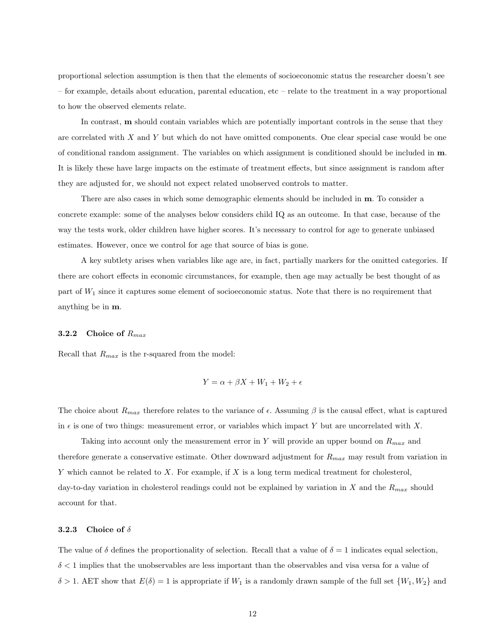proportional selection assumption is then that the elements of socioeconomic status the researcher doesn't see – for example, details about education, parental education, etc – relate to the treatment in a way proportional to how the observed elements relate.

In contrast, m should contain variables which are potentially important controls in the sense that they are correlated with X and Y but which do not have omitted components. One clear special case would be one of conditional random assignment. The variables on which assignment is conditioned should be included in m. It is likely these have large impacts on the estimate of treatment effects, but since assignment is random after they are adjusted for, we should not expect related unobserved controls to matter.

There are also cases in which some demographic elements should be included in m. To consider a concrete example: some of the analyses below considers child IQ as an outcome. In that case, because of the way the tests work, older children have higher scores. It's necessary to control for age to generate unbiased estimates. However, once we control for age that source of bias is gone.

A key subtlety arises when variables like age are, in fact, partially markers for the omitted categories. If there are cohort effects in economic circumstances, for example, then age may actually be best thought of as part of  $W_1$  since it captures some element of socioeconomic status. Note that there is no requirement that anything be in m.

### 3.2.2 Choice of  $R_{max}$

Recall that  $R_{max}$  is the r-squared from the model:

$$
Y = \alpha + \beta X + W_1 + W_2 + \epsilon
$$

The choice about  $R_{max}$  therefore relates to the variance of  $\epsilon$ . Assuming  $\beta$  is the causal effect, what is captured in  $\epsilon$  is one of two things: measurement error, or variables which impact Y but are uncorrelated with X.

Taking into account only the measurement error in Y will provide an upper bound on  $R_{max}$  and therefore generate a conservative estimate. Other downward adjustment for  $R_{max}$  may result from variation in Y which cannot be related to X. For example, if X is a long term medical treatment for cholesterol, day-to-day variation in cholesterol readings could not be explained by variation in X and the  $R_{max}$  should account for that.

### 3.2.3 Choice of  $\delta$

The value of  $\delta$  defines the proportionality of selection. Recall that a value of  $\delta = 1$  indicates equal selection,  $\delta$  < 1 implies that the unobservables are less important than the observables and visa versa for a value of  $\delta > 1$ . AET show that  $E(\delta) = 1$  is appropriate if  $W_1$  is a randomly drawn sample of the full set  $\{W_1, W_2\}$  and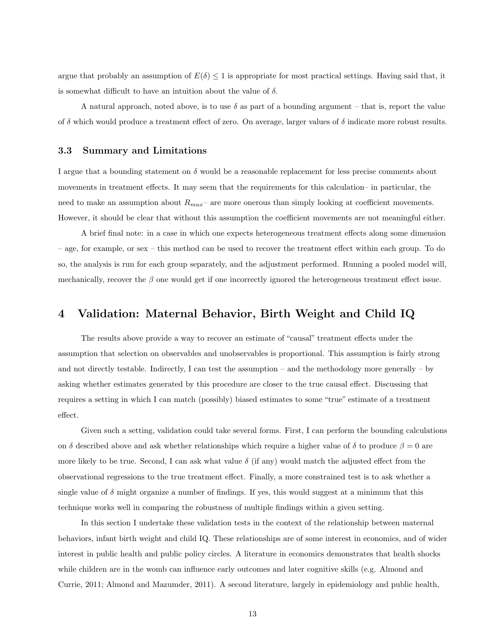argue that probably an assumption of  $E(\delta) \leq 1$  is appropriate for most practical settings. Having said that, it is somewhat difficult to have an intuition about the value of  $\delta$ .

A natural approach, noted above, is to use  $\delta$  as part of a bounding argument – that is, report the value of  $\delta$  which would produce a treatment effect of zero. On average, larger values of  $\delta$  indicate more robust results.

# 3.3 Summary and Limitations

I argue that a bounding statement on  $\delta$  would be a reasonable replacement for less precise comments about movements in treatment effects. It may seem that the requirements for this calculation– in particular, the need to make an assumption about  $R_{max}$  are more onerous than simply looking at coefficient movements. However, it should be clear that without this assumption the coefficient movements are not meaningful either.

A brief final note: in a case in which one expects heterogeneous treatment effects along some dimension – age, for example, or sex – this method can be used to recover the treatment effect within each group. To do so, the analysis is run for each group separately, and the adjustment performed. Running a pooled model will, mechanically, recover the  $\beta$  one would get if one incorrectly ignored the heterogeneous treatment effect issue.

# <span id="page-13-0"></span>4 Validation: Maternal Behavior, Birth Weight and Child IQ

The results above provide a way to recover an estimate of "causal" treatment effects under the assumption that selection on observables and unobservables is proportional. This assumption is fairly strong and not directly testable. Indirectly, I can test the assumption – and the methodology more generally – by asking whether estimates generated by this procedure are closer to the true causal effect. Discussing that requires a setting in which I can match (possibly) biased estimates to some "true" estimate of a treatment effect.

Given such a setting, validation could take several forms. First, I can perform the bounding calculations on δ described above and ask whether relationships which require a higher value of δ to produce  $\beta = 0$  are more likely to be true. Second, I can ask what value  $\delta$  (if any) would match the adjusted effect from the observational regressions to the true treatment effect. Finally, a more constrained test is to ask whether a single value of  $\delta$  might organize a number of findings. If yes, this would suggest at a minimum that this technique works well in comparing the robustness of multiple findings within a given setting.

In this section I undertake these validation tests in the context of the relationship between maternal behaviors, infant birth weight and child IQ. These relationships are of some interest in economics, and of wider interest in public health and public policy circles. A literature in economics demonstrates that health shocks while children are in the womb can influence early outcomes and later cognitive skills (e.g. Almond and Currie, 2011; Almond and Mazumder, 2011). A second literature, largely in epidemiology and public health,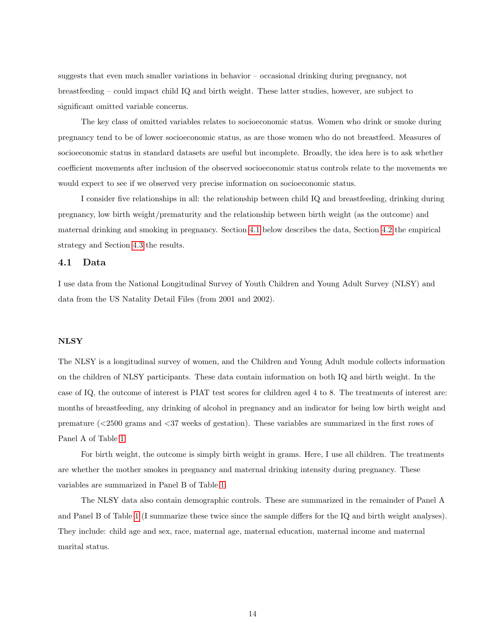suggests that even much smaller variations in behavior – occasional drinking during pregnancy, not breastfeeding – could impact child IQ and birth weight. These latter studies, however, are subject to significant omitted variable concerns.

The key class of omitted variables relates to socioeconomic status. Women who drink or smoke during pregnancy tend to be of lower socioeconomic status, as are those women who do not breastfeed. Measures of socioeconomic status in standard datasets are useful but incomplete. Broadly, the idea here is to ask whether coefficient movements after inclusion of the observed socioeconomic status controls relate to the movements we would expect to see if we observed very precise information on socioeconomic status.

I consider five relationships in all: the relationship between child IQ and breastfeeding, drinking during pregnancy, low birth weight/prematurity and the relationship between birth weight (as the outcome) and maternal drinking and smoking in pregnancy. Section [4.1](#page-14-0) below describes the data, Section [4.2](#page-15-0) the empirical strategy and Section [4.3](#page-16-0) the results.

# <span id="page-14-0"></span>4.1 Data

I use data from the National Longitudinal Survey of Youth Children and Young Adult Survey (NLSY) and data from the US Natality Detail Files (from 2001 and 2002).

# **NLSY**

The NLSY is a longitudinal survey of women, and the Children and Young Adult module collects information on the children of NLSY participants. These data contain information on both IQ and birth weight. In the case of IQ, the outcome of interest is PIAT test scores for children aged 4 to 8. The treatments of interest are: months of breastfeeding, any drinking of alcohol in pregnancy and an indicator for being low birth weight and premature (<2500 grams and <37 weeks of gestation). These variables are summarized in the first rows of Panel A of Table [1.](#page-31-0)

For birth weight, the outcome is simply birth weight in grams. Here, I use all children. The treatments are whether the mother smokes in pregnancy and maternal drinking intensity during pregnancy. These variables are summarized in Panel B of Table [1.](#page-31-0)

The NLSY data also contain demographic controls. These are summarized in the remainder of Panel A and Panel B of Table [1](#page-31-0) (I summarize these twice since the sample differs for the IQ and birth weight analyses). They include: child age and sex, race, maternal age, maternal education, maternal income and maternal marital status.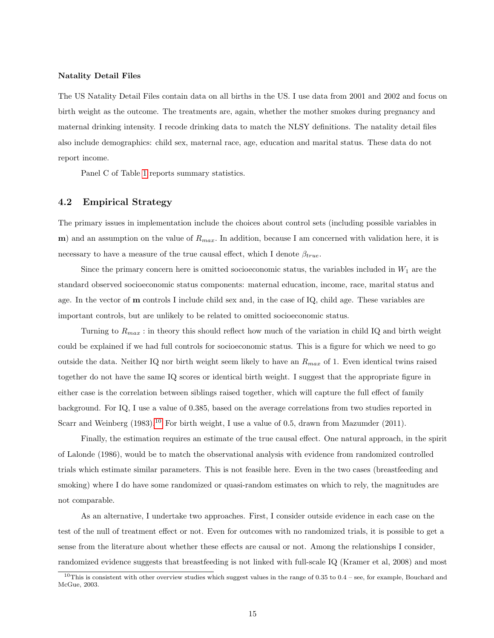### Natality Detail Files

The US Natality Detail Files contain data on all births in the US. I use data from 2001 and 2002 and focus on birth weight as the outcome. The treatments are, again, whether the mother smokes during pregnancy and maternal drinking intensity. I recode drinking data to match the NLSY definitions. The natality detail files also include demographics: child sex, maternal race, age, education and marital status. These data do not report income.

Panel C of Table [1](#page-31-0) reports summary statistics.

### <span id="page-15-0"></span>4.2 Empirical Strategy

The primary issues in implementation include the choices about control sets (including possible variables in m) and an assumption on the value of  $R_{max}$ . In addition, because I am concerned with validation here, it is necessary to have a measure of the true causal effect, which I denote  $\beta_{true}$ .

Since the primary concern here is omitted socioeconomic status, the variables included in  $W_1$  are the standard observed socioeconomic status components: maternal education, income, race, marital status and age. In the vector of m controls I include child sex and, in the case of IQ, child age. These variables are important controls, but are unlikely to be related to omitted socioeconomic status.

Turning to  $R_{max}$ : in theory this should reflect how much of the variation in child IQ and birth weight could be explained if we had full controls for socioeconomic status. This is a figure for which we need to go outside the data. Neither IQ nor birth weight seem likely to have an  $R_{max}$  of 1. Even identical twins raised together do not have the same IQ scores or identical birth weight. I suggest that the appropriate figure in either case is the correlation between siblings raised together, which will capture the full effect of family background. For IQ, I use a value of 0.385, based on the average correlations from two studies reported in Scarr and Weinberg (1983).<sup>[10](#page-15-1)</sup> For birth weight, I use a value of 0.5, drawn from Mazumder (2011).

Finally, the estimation requires an estimate of the true causal effect. One natural approach, in the spirit of Lalonde (1986), would be to match the observational analysis with evidence from randomized controlled trials which estimate similar parameters. This is not feasible here. Even in the two cases (breastfeeding and smoking) where I do have some randomized or quasi-random estimates on which to rely, the magnitudes are not comparable.

As an alternative, I undertake two approaches. First, I consider outside evidence in each case on the test of the null of treatment effect or not. Even for outcomes with no randomized trials, it is possible to get a sense from the literature about whether these effects are causal or not. Among the relationships I consider, randomized evidence suggests that breastfeeding is not linked with full-scale IQ (Kramer et al, 2008) and most

<span id="page-15-1"></span><sup>&</sup>lt;sup>10</sup>This is consistent with other overview studies which suggest values in the range of  $0.35$  to  $0.4$  – see, for example, Bouchard and McGue, 2003.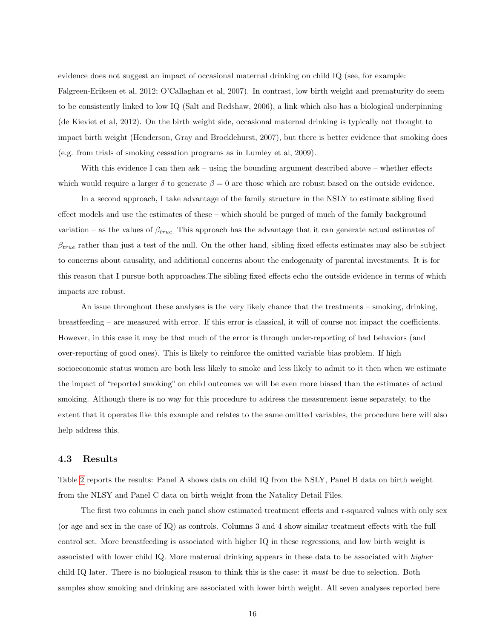evidence does not suggest an impact of occasional maternal drinking on child IQ (see, for example: Falgreen-Eriksen et al, 2012; O'Callaghan et al, 2007). In contrast, low birth weight and prematurity do seem to be consistently linked to low IQ (Salt and Redshaw, 2006), a link which also has a biological underpinning (de Kieviet et al, 2012). On the birth weight side, occasional maternal drinking is typically not thought to impact birth weight (Henderson, Gray and Brocklehurst, 2007), but there is better evidence that smoking does (e.g. from trials of smoking cessation programs as in Lumley et al, 2009).

With this evidence I can then ask – using the bounding argument described above – whether effects which would require a larger  $\delta$  to generate  $\beta = 0$  are those which are robust based on the outside evidence.

In a second approach, I take advantage of the family structure in the NSLY to estimate sibling fixed effect models and use the estimates of these – which should be purged of much of the family background variation – as the values of  $\beta_{true}$ . This approach has the advantage that it can generate actual estimates of  $\beta_{true}$  rather than just a test of the null. On the other hand, sibling fixed effects estimates may also be subject to concerns about causality, and additional concerns about the endogenaity of parental investments. It is for this reason that I pursue both approaches.The sibling fixed effects echo the outside evidence in terms of which impacts are robust.

An issue throughout these analyses is the very likely chance that the treatments – smoking, drinking, breastfeeding – are measured with error. If this error is classical, it will of course not impact the coefficients. However, in this case it may be that much of the error is through under-reporting of bad behaviors (and over-reporting of good ones). This is likely to reinforce the omitted variable bias problem. If high socioeconomic status women are both less likely to smoke and less likely to admit to it then when we estimate the impact of "reported smoking" on child outcomes we will be even more biased than the estimates of actual smoking. Although there is no way for this procedure to address the measurement issue separately, to the extent that it operates like this example and relates to the same omitted variables, the procedure here will also help address this.

### <span id="page-16-0"></span>4.3 Results

Table [2](#page-33-0) reports the results: Panel A shows data on child IQ from the NSLY, Panel B data on birth weight from the NLSY and Panel C data on birth weight from the Natality Detail Files.

The first two columns in each panel show estimated treatment effects and r-squared values with only sex (or age and sex in the case of IQ) as controls. Columns 3 and 4 show similar treatment effects with the full control set. More breastfeeding is associated with higher IQ in these regressions, and low birth weight is associated with lower child IQ. More maternal drinking appears in these data to be associated with higher child IQ later. There is no biological reason to think this is the case: it must be due to selection. Both samples show smoking and drinking are associated with lower birth weight. All seven analyses reported here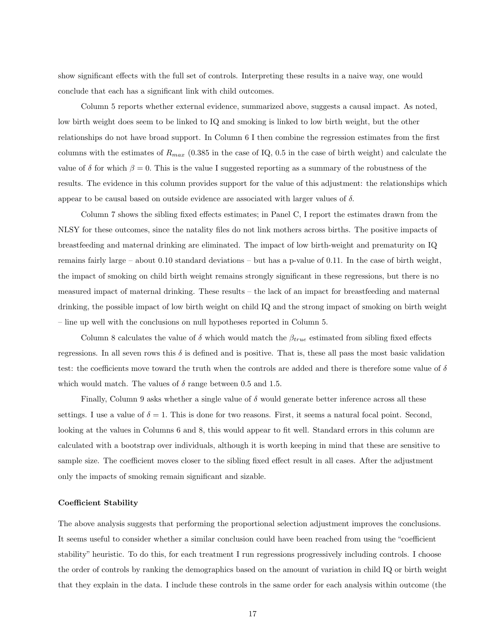show significant effects with the full set of controls. Interpreting these results in a naive way, one would conclude that each has a significant link with child outcomes.

Column 5 reports whether external evidence, summarized above, suggests a causal impact. As noted, low birth weight does seem to be linked to IQ and smoking is linked to low birth weight, but the other relationships do not have broad support. In Column 6 I then combine the regression estimates from the first columns with the estimates of  $R_{max}$  (0.385 in the case of IQ, 0.5 in the case of birth weight) and calculate the value of  $\delta$  for which  $\beta = 0$ . This is the value I suggested reporting as a summary of the robustness of the results. The evidence in this column provides support for the value of this adjustment: the relationships which appear to be causal based on outside evidence are associated with larger values of  $\delta$ .

Column 7 shows the sibling fixed effects estimates; in Panel C, I report the estimates drawn from the NLSY for these outcomes, since the natality files do not link mothers across births. The positive impacts of breastfeeding and maternal drinking are eliminated. The impact of low birth-weight and prematurity on IQ remains fairly large – about 0.10 standard deviations – but has a p-value of 0.11. In the case of birth weight, the impact of smoking on child birth weight remains strongly significant in these regressions, but there is no measured impact of maternal drinking. These results – the lack of an impact for breastfeeding and maternal drinking, the possible impact of low birth weight on child IQ and the strong impact of smoking on birth weight – line up well with the conclusions on null hypotheses reported in Column 5.

Column 8 calculates the value of  $\delta$  which would match the  $\beta_{true}$  estimated from sibling fixed effects regressions. In all seven rows this  $\delta$  is defined and is positive. That is, these all pass the most basic validation test: the coefficients move toward the truth when the controls are added and there is therefore some value of  $\delta$ which would match. The values of  $\delta$  range between 0.5 and 1.5.

Finally, Column 9 asks whether a single value of  $\delta$  would generate better inference across all these settings. I use a value of  $\delta = 1$ . This is done for two reasons. First, it seems a natural focal point. Second, looking at the values in Columns 6 and 8, this would appear to fit well. Standard errors in this column are calculated with a bootstrap over individuals, although it is worth keeping in mind that these are sensitive to sample size. The coefficient moves closer to the sibling fixed effect result in all cases. After the adjustment only the impacts of smoking remain significant and sizable.

### Coefficient Stability

The above analysis suggests that performing the proportional selection adjustment improves the conclusions. It seems useful to consider whether a similar conclusion could have been reached from using the "coefficient stability" heuristic. To do this, for each treatment I run regressions progressively including controls. I choose the order of controls by ranking the demographics based on the amount of variation in child IQ or birth weight that they explain in the data. I include these controls in the same order for each analysis within outcome (the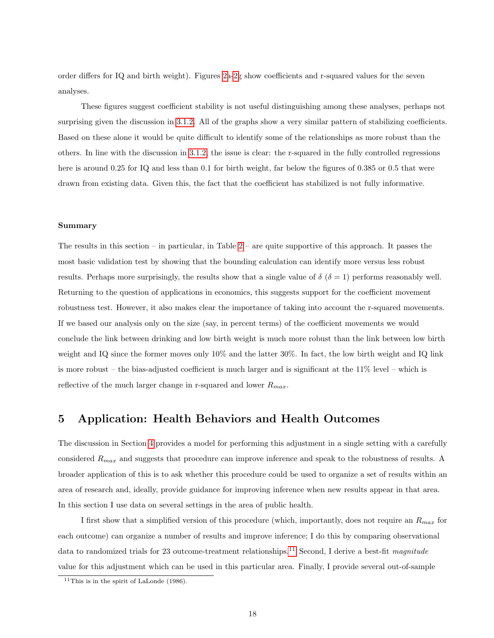order differs for IQ and birth weight). Figures [2a-2g](#page-30-0) show coefficients and r-squared values for the seven analyses.

These figures suggest coefficient stability is not useful distinguishing among these analyses, perhaps not surprising given the discussion in [3.1.2.](#page-10-2) All of the graphs show a very similar pattern of stabilizing coefficients. Based on these alone it would be quite difficult to identify some of the relationships as more robust than the others. In line with the discussion in [3.1.2,](#page-10-2) the issue is clear: the r-squared in the fully controlled regressions here is around 0.25 for IQ and less than 0.1 for birth weight, far below the figures of 0.385 or 0.5 that were drawn from existing data. Given this, the fact that the coefficient has stabilized is not fully informative.

### Summary

The results in this section – in particular, in Table [2](#page-33-0) – are quite supportive of this approach. It passes the most basic validation test by showing that the bounding calculation can identify more versus less robust results. Perhaps more surprisingly, the results show that a single value of  $\delta(\delta = 1)$  performs reasonably well. Returning to the question of applications in economics, this suggests support for the coefficient movement robustness test. However, it also makes clear the importance of taking into account the r-squared movements. If we based our analysis only on the size (say, in percent terms) of the coefficient movements we would conclude the link between drinking and low birth weight is much more robust than the link between low birth weight and IQ since the former moves only 10% and the latter 30%. In fact, the low birth weight and IQ link is more robust – the bias-adjusted coefficient is much larger and is significant at the 11% level – which is reflective of the much larger change in r-squared and lower  $R_{max}$ .

# <span id="page-18-0"></span>5 Application: Health Behaviors and Health Outcomes

The discussion in Section [4](#page-13-0) provides a model for performing this adjustment in a single setting with a carefully considered  $R_{max}$  and suggests that procedure can improve inference and speak to the robustness of results. A broader application of this is to ask whether this procedure could be used to organize a set of results within an area of research and, ideally, provide guidance for improving inference when new results appear in that area. In this section I use data on several settings in the area of public health.

I first show that a simplified version of this procedure (which, importantly, does not require an  $R_{max}$  for each outcome) can organize a number of results and improve inference; I do this by comparing observational data to randomized trials for 23 outcome-treatment relationships.<sup>[11](#page-18-1)</sup> Second, I derive a best-fit *magnitude* value for this adjustment which can be used in this particular area. Finally, I provide several out-of-sample

<span id="page-18-1"></span><sup>&</sup>lt;sup>11</sup>This is in the spirit of LaLonde (1986).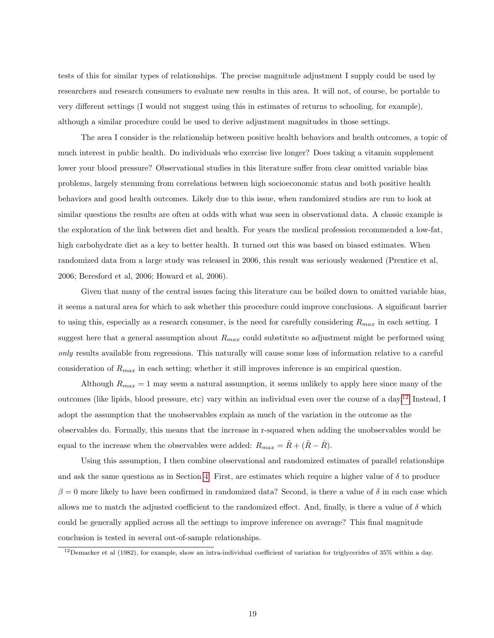tests of this for similar types of relationships. The precise magnitude adjustment I supply could be used by researchers and research consumers to evaluate new results in this area. It will not, of course, be portable to very different settings (I would not suggest using this in estimates of returns to schooling, for example), although a similar procedure could be used to derive adjustment magnitudes in those settings.

The area I consider is the relationship between positive health behaviors and health outcomes, a topic of much interest in public health. Do individuals who exercise live longer? Does taking a vitamin supplement lower your blood pressure? Observational studies in this literature suffer from clear omitted variable bias problems, largely stemming from correlations between high socioeconomic status and both positive health behaviors and good health outcomes. Likely due to this issue, when randomized studies are run to look at similar questions the results are often at odds with what was seen in observational data. A classic example is the exploration of the link between diet and health. For years the medical profession recommended a low-fat, high carbohydrate diet as a key to better health. It turned out this was based on biased estimates. When randomized data from a large study was released in 2006, this result was seriously weakened (Prentice et al, 2006; Beresford et al, 2006; Howard et al, 2006).

Given that many of the central issues facing this literature can be boiled down to omitted variable bias, it seems a natural area for which to ask whether this procedure could improve conclusions. A significant barrier to using this, especially as a research consumer, is the need for carefully considering  $R_{max}$  in each setting. I suggest here that a general assumption about  $R_{max}$  could substitute so adjustment might be performed using only results available from regressions. This naturally will cause some loss of information relative to a careful consideration of  $R_{max}$  in each setting; whether it still improves inference is an empirical question.

Although  $R_{max} = 1$  may seem a natural assumption, it seems unlikely to apply here since many of the outcomes (like lipids, blood pressure, etc) vary within an individual even over the course of a day.[12](#page-19-0) Instead, I adopt the assumption that the unobservables explain as much of the variation in the outcome as the observables do. Formally, this means that the increase in r-squared when adding the unobservables would be equal to the increase when the observables were added:  $R_{max} = \tilde{R} + (\tilde{R} - \mathring{R})$ .

Using this assumption, I then combine observational and randomized estimates of parallel relationships and ask the same questions as in Section [4.](#page-13-0) First, are estimates which require a higher value of  $\delta$  to produce  $\beta = 0$  more likely to have been confirmed in randomized data? Second, is there a value of  $\delta$  in each case which allows me to match the adjusted coefficient to the randomized effect. And, finally, is there a value of  $\delta$  which could be generally applied across all the settings to improve inference on average? This final magnitude conclusion is tested in several out-of-sample relationships.

<span id="page-19-0"></span> $12$ Demacker et al (1982), for example, show an intra-individual coefficient of variation for triglycerides of 35% within a day.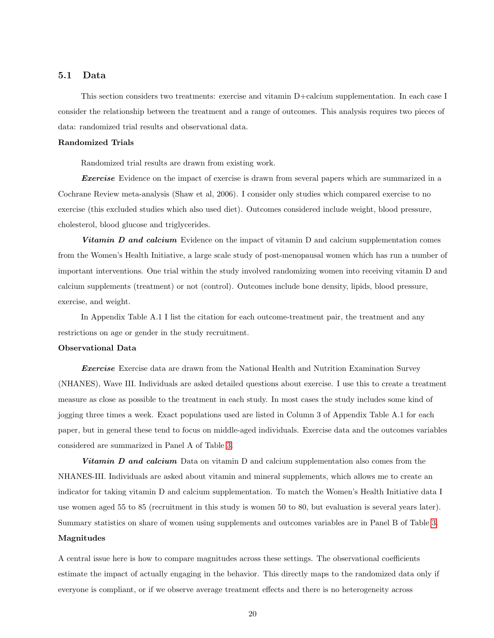# 5.1 Data

This section considers two treatments: exercise and vitamin D+calcium supplementation. In each case I consider the relationship between the treatment and a range of outcomes. This analysis requires two pieces of data: randomized trial results and observational data.

### Randomized Trials

Randomized trial results are drawn from existing work.

**Exercise** Evidence on the impact of exercise is drawn from several papers which are summarized in a Cochrane Review meta-analysis (Shaw et al, 2006). I consider only studies which compared exercise to no exercise (this excluded studies which also used diet). Outcomes considered include weight, blood pressure, cholesterol, blood glucose and triglycerides.

**Vitamin D and calcium** Evidence on the impact of vitamin D and calcium supplementation comes from the Women's Health Initiative, a large scale study of post-menopausal women which has run a number of important interventions. One trial within the study involved randomizing women into receiving vitamin D and calcium supplements (treatment) or not (control). Outcomes include bone density, lipids, blood pressure, exercise, and weight.

In Appendix Table A.1 I list the citation for each outcome-treatment pair, the treatment and any restrictions on age or gender in the study recruitment.

### Observational Data

Exercise Exercise data are drawn from the National Health and Nutrition Examination Survey (NHANES), Wave III. Individuals are asked detailed questions about exercise. I use this to create a treatment measure as close as possible to the treatment in each study. In most cases the study includes some kind of jogging three times a week. Exact populations used are listed in Column 3 of Appendix Table A.1 for each paper, but in general these tend to focus on middle-aged individuals. Exercise data and the outcomes variables considered are summarized in Panel A of Table [3.](#page-34-0)

Vitamin D and calcium Data on vitamin D and calcium supplementation also comes from the NHANES-III. Individuals are asked about vitamin and mineral supplements, which allows me to create an indicator for taking vitamin D and calcium supplementation. To match the Women's Health Initiative data I use women aged 55 to 85 (recruitment in this study is women 50 to 80, but evaluation is several years later). Summary statistics on share of women using supplements and outcomes variables are in Panel B of Table [3.](#page-34-0)

# Magnitudes

A central issue here is how to compare magnitudes across these settings. The observational coefficients estimate the impact of actually engaging in the behavior. This directly maps to the randomized data only if everyone is compliant, or if we observe average treatment effects and there is no heterogeneity across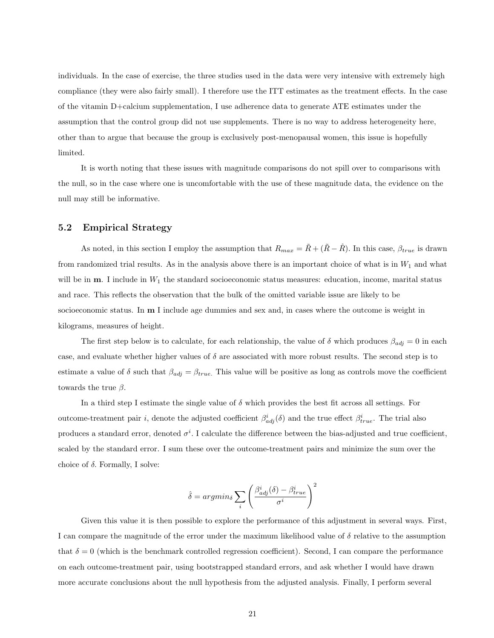individuals. In the case of exercise, the three studies used in the data were very intensive with extremely high compliance (they were also fairly small). I therefore use the ITT estimates as the treatment effects. In the case of the vitamin D+calcium supplementation, I use adherence data to generate ATE estimates under the assumption that the control group did not use supplements. There is no way to address heterogeneity here, other than to argue that because the group is exclusively post-menopausal women, this issue is hopefully limited.

It is worth noting that these issues with magnitude comparisons do not spill over to comparisons with the null, so in the case where one is uncomfortable with the use of these magnitude data, the evidence on the null may still be informative.

# 5.2 Empirical Strategy

As noted, in this section I employ the assumption that  $R_{max} = \tilde{R} + (\tilde{R} - \tilde{R})$ . In this case,  $\beta_{true}$  is drawn from randomized trial results. As in the analysis above there is an important choice of what is in  $W_1$  and what will be in  $m$ . I include in  $W_1$  the standard socioeconomic status measures: education, income, marital status and race. This reflects the observation that the bulk of the omitted variable issue are likely to be socioeconomic status. In **m** I include age dummies and sex and, in cases where the outcome is weight in kilograms, measures of height.

The first step below is to calculate, for each relationship, the value of  $\delta$  which produces  $\beta_{adj} = 0$  in each case, and evaluate whether higher values of  $\delta$  are associated with more robust results. The second step is to estimate a value of  $\delta$  such that  $\beta_{adj} = \beta_{true}$ . This value will be positive as long as controls move the coefficient towards the true  $\beta$ .

In a third step I estimate the single value of  $\delta$  which provides the best fit across all settings. For outcome-treatment pair *i*, denote the adjusted coefficient  $\beta_{adj}^i(\delta)$  and the true effect  $\beta_{true}^i$ . The trial also produces a standard error, denoted  $\sigma^i$ . I calculate the difference between the bias-adjusted and true coefficient, scaled by the standard error. I sum these over the outcome-treatment pairs and minimize the sum over the choice of  $\delta$ . Formally, I solve:

$$
\hat{\delta} = argmin_{\delta} \sum_{i} \left( \frac{\beta_{adj}^{i}(\delta) - \beta_{true}^{i}}{\sigma^{i}} \right)^{2}
$$

Given this value it is then possible to explore the performance of this adjustment in several ways. First, I can compare the magnitude of the error under the maximum likelihood value of  $\delta$  relative to the assumption that  $\delta = 0$  (which is the benchmark controlled regression coefficient). Second, I can compare the performance on each outcome-treatment pair, using bootstrapped standard errors, and ask whether I would have drawn more accurate conclusions about the null hypothesis from the adjusted analysis. Finally, I perform several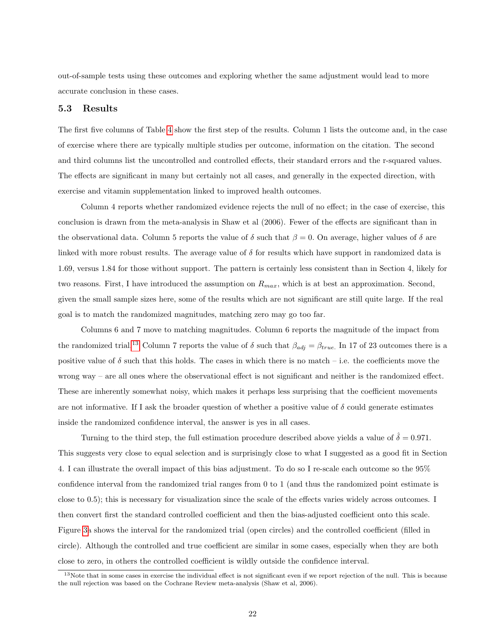out-of-sample tests using these outcomes and exploring whether the same adjustment would lead to more accurate conclusion in these cases.

# 5.3 Results

The first five columns of Table [4](#page-35-0) show the first step of the results. Column 1 lists the outcome and, in the case of exercise where there are typically multiple studies per outcome, information on the citation. The second and third columns list the uncontrolled and controlled effects, their standard errors and the r-squared values. The effects are significant in many but certainly not all cases, and generally in the expected direction, with exercise and vitamin supplementation linked to improved health outcomes.

Column 4 reports whether randomized evidence rejects the null of no effect; in the case of exercise, this conclusion is drawn from the meta-analysis in Shaw et al (2006). Fewer of the effects are significant than in the observational data. Column 5 reports the value of  $\delta$  such that  $\beta = 0$ . On average, higher values of  $\delta$  are linked with more robust results. The average value of  $\delta$  for results which have support in randomized data is 1.69, versus 1.84 for those without support. The pattern is certainly less consistent than in Section 4, likely for two reasons. First, I have introduced the assumption on  $R_{max}$ , which is at best an approximation. Second, given the small sample sizes here, some of the results which are not significant are still quite large. If the real goal is to match the randomized magnitudes, matching zero may go too far.

Columns 6 and 7 move to matching magnitudes. Column 6 reports the magnitude of the impact from the randomized trial.<sup>[13](#page-22-0)</sup> Column 7 reports the value of  $\delta$  such that  $\beta_{adj} = \beta_{true}$ . In 17 of 23 outcomes there is a positive value of  $\delta$  such that this holds. The cases in which there is no match – i.e. the coefficients move the wrong way – are all ones where the observational effect is not significant and neither is the randomized effect. These are inherently somewhat noisy, which makes it perhaps less surprising that the coefficient movements are not informative. If I ask the broader question of whether a positive value of  $\delta$  could generate estimates inside the randomized confidence interval, the answer is yes in all cases.

Turning to the third step, the full estimation procedure described above yields a value of  $\hat{\delta} = 0.971$ . This suggests very close to equal selection and is surprisingly close to what I suggested as a good fit in Section 4. I can illustrate the overall impact of this bias adjustment. To do so I re-scale each outcome so the 95% confidence interval from the randomized trial ranges from 0 to 1 (and thus the randomized point estimate is close to 0.5); this is necessary for visualization since the scale of the effects varies widely across outcomes. I then convert first the standard controlled coefficient and then the bias-adjusted coefficient onto this scale. Figure [3a](#page-32-0) shows the interval for the randomized trial (open circles) and the controlled coefficient (filled in circle). Although the controlled and true coefficient are similar in some cases, especially when they are both close to zero, in others the controlled coefficient is wildly outside the confidence interval.

<span id="page-22-0"></span> $13$ Note that in some cases in exercise the individual effect is not significant even if we report rejection of the null. This is because the null rejection was based on the Cochrane Review meta-analysis (Shaw et al, 2006).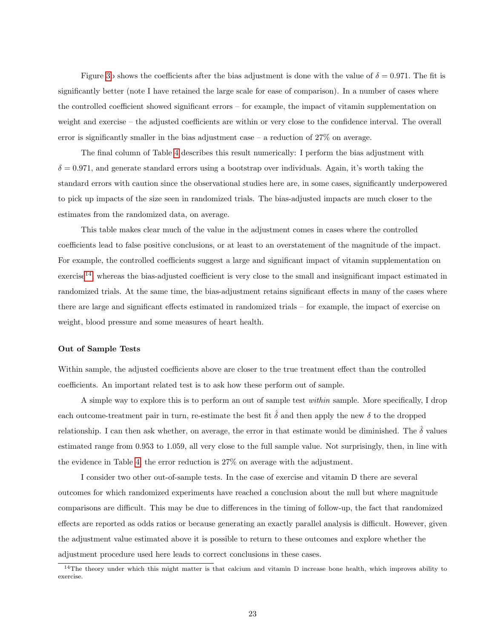Figure [3b](#page-32-0) shows the coefficients after the bias adjustment is done with the value of  $\delta = 0.971$ . The fit is significantly better (note I have retained the large scale for ease of comparison). In a number of cases where the controlled coefficient showed significant errors – for example, the impact of vitamin supplementation on weight and exercise – the adjusted coefficients are within or very close to the confidence interval. The overall error is significantly smaller in the bias adjustment case – a reduction of 27% on average.

The final column of Table [4](#page-35-0) describes this result numerically: I perform the bias adjustment with  $\delta = 0.971$ , and generate standard errors using a bootstrap over individuals. Again, it's worth taking the standard errors with caution since the observational studies here are, in some cases, significantly underpowered to pick up impacts of the size seen in randomized trials. The bias-adjusted impacts are much closer to the estimates from the randomized data, on average.

This table makes clear much of the value in the adjustment comes in cases where the controlled coefficients lead to false positive conclusions, or at least to an overstatement of the magnitude of the impact. For example, the controlled coefficients suggest a large and significant impact of vitamin supplementation on  $\alpha$  exercise<sup>[14](#page-23-0)</sup>, whereas the bias-adjusted coefficient is very close to the small and insignificant impact estimated in randomized trials. At the same time, the bias-adjustment retains significant effects in many of the cases where there are large and significant effects estimated in randomized trials – for example, the impact of exercise on weight, blood pressure and some measures of heart health.

### Out of Sample Tests

Within sample, the adjusted coefficients above are closer to the true treatment effect than the controlled coefficients. An important related test is to ask how these perform out of sample.

A simple way to explore this is to perform an out of sample test within sample. More specifically, I drop each outcome-treatment pair in turn, re-estimate the best fit  $\hat{\delta}$  and then apply the new  $\delta$  to the dropped relationship. I can then ask whether, on average, the error in that estimate would be diminished. The  $\hat{\delta}$  values estimated range from 0.953 to 1.059, all very close to the full sample value. Not surprisingly, then, in line with the evidence in Table [4,](#page-35-0) the error reduction is 27% on average with the adjustment.

I consider two other out-of-sample tests. In the case of exercise and vitamin D there are several outcomes for which randomized experiments have reached a conclusion about the null but where magnitude comparisons are difficult. This may be due to differences in the timing of follow-up, the fact that randomized effects are reported as odds ratios or because generating an exactly parallel analysis is difficult. However, given the adjustment value estimated above it is possible to return to these outcomes and explore whether the adjustment procedure used here leads to correct conclusions in these cases.

<span id="page-23-0"></span> $14$ The theory under which this might matter is that calcium and vitamin D increase bone health, which improves ability to exercise.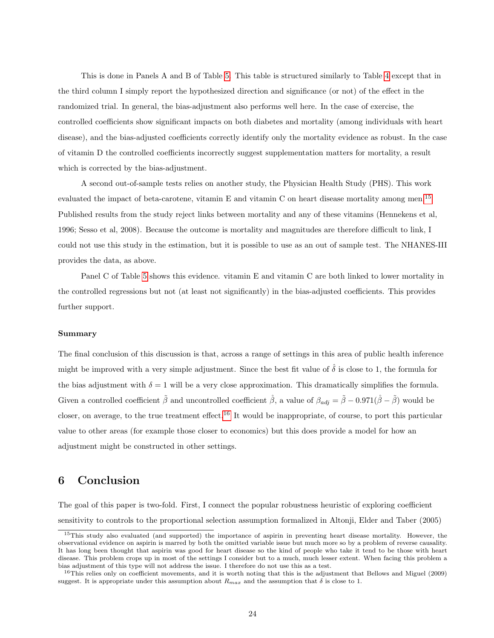This is done in Panels A and B of Table [5.](#page-36-0) This table is structured similarly to Table [4](#page-35-0) except that in the third column I simply report the hypothesized direction and significance (or not) of the effect in the randomized trial. In general, the bias-adjustment also performs well here. In the case of exercise, the controlled coefficients show significant impacts on both diabetes and mortality (among individuals with heart disease), and the bias-adjusted coefficients correctly identify only the mortality evidence as robust. In the case of vitamin D the controlled coefficients incorrectly suggest supplementation matters for mortality, a result which is corrected by the bias-adjustment.

A second out-of-sample tests relies on another study, the Physician Health Study (PHS). This work evaluated the impact of beta-carotene, vitamin E and vitamin C on heart disease mortality among men.[15](#page-24-0) Published results from the study reject links between mortality and any of these vitamins (Hennekens et al, 1996; Sesso et al, 2008). Because the outcome is mortality and magnitudes are therefore difficult to link, I could not use this study in the estimation, but it is possible to use as an out of sample test. The NHANES-III provides the data, as above.

Panel C of Table [5](#page-36-0) shows this evidence. vitamin E and vitamin C are both linked to lower mortality in the controlled regressions but not (at least not significantly) in the bias-adjusted coefficients. This provides further support.

### Summary

The final conclusion of this discussion is that, across a range of settings in this area of public health inference might be improved with a very simple adjustment. Since the best fit value of  $\hat{\delta}$  is close to 1, the formula for the bias adjustment with  $\delta = 1$  will be a very close approximation. This dramatically simplifies the formula. Given a controlled coefficient  $\tilde{\beta}$  and uncontrolled coefficient  $\dot{\beta}$ , a value of  $\beta_{adj} = \tilde{\beta} - 0.971(\dot{\beta} - \tilde{\beta})$  would be closer, on average, to the true treatment effect.<sup>[16](#page-24-1)</sup> It would be inappropriate, of course, to port this particular value to other areas (for example those closer to economics) but this does provide a model for how an adjustment might be constructed in other settings.

# 6 Conclusion

The goal of this paper is two-fold. First, I connect the popular robustness heuristic of exploring coefficient sensitivity to controls to the proportional selection assumption formalized in Altonji, Elder and Taber (2005)

<span id="page-24-0"></span><sup>15</sup>This study also evaluated (and supported) the importance of aspirin in preventing heart disease mortality. However, the observational evidence on aspirin is marred by both the omitted variable issue but much more so by a problem of reverse causality. It has long been thought that aspirin was good for heart disease so the kind of people who take it tend to be those with heart disease. This problem crops up in most of the settings I consider but to a much, much lesser extent. When facing this problem a bias adjustment of this type will not address the issue. I therefore do not use this as a test.

<span id="page-24-1"></span> $16$ This relies only on coefficient movements, and it is worth noting that this is the adjustment that Bellows and Miguel (2009) suggest. It is appropriate under this assumption about  $R_{max}$  and the assumption that  $\delta$  is close to 1.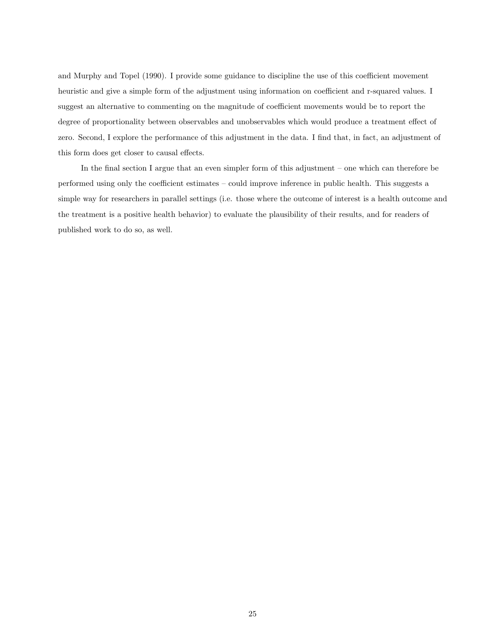and Murphy and Topel (1990). I provide some guidance to discipline the use of this coefficient movement heuristic and give a simple form of the adjustment using information on coefficient and r-squared values. I suggest an alternative to commenting on the magnitude of coefficient movements would be to report the degree of proportionality between observables and unobservables which would produce a treatment effect of zero. Second, I explore the performance of this adjustment in the data. I find that, in fact, an adjustment of this form does get closer to causal effects.

In the final section I argue that an even simpler form of this adjustment – one which can therefore be performed using only the coefficient estimates – could improve inference in public health. This suggests a simple way for researchers in parallel settings (i.e. those where the outcome of interest is a health outcome and the treatment is a positive health behavior) to evaluate the plausibility of their results, and for readers of published work to do so, as well.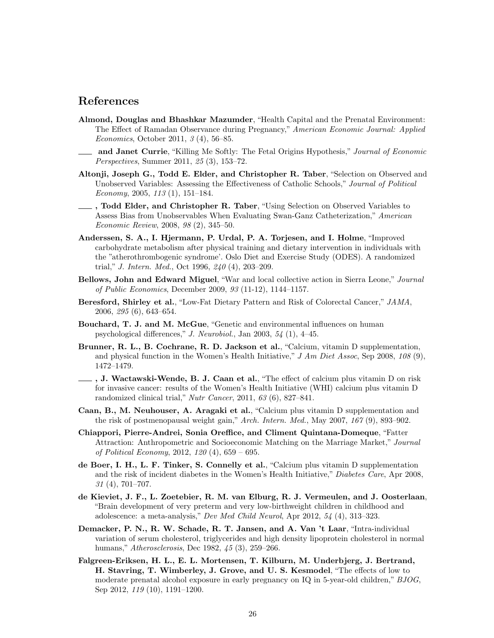# References

- Almond, Douglas and Bhashkar Mazumder, "Health Capital and the Prenatal Environment: The Effect of Ramadan Observance during Pregnancy," American Economic Journal: Applied Economics, October 2011, 3 (4), 56–85.
- and Janet Currie, "Killing Me Softly: The Fetal Origins Hypothesis," Journal of Economic Perspectives, Summer 2011, 25 (3), 153–72.
- Altonji, Joseph G., Todd E. Elder, and Christopher R. Taber, "Selection on Observed and Unobserved Variables: Assessing the Effectiveness of Catholic Schools," Journal of Political Economy, 2005, 113 (1), 151–184.
- 1. Todd Elder, and Christopher R. Taber, "Using Selection on Observed Variables to Assess Bias from Unobservables When Evaluating Swan-Ganz Catheterization," American Economic Review, 2008, 98 (2), 345–50.
- Anderssen, S. A., I. Hjermann, P. Urdal, P. A. Torjesen, and I. Holme, "Improved carbohydrate metabolism after physical training and dietary intervention in individuals with the "atherothrombogenic syndrome'. Oslo Diet and Exercise Study (ODES). A randomized trial," J. Intern. Med., Oct 1996, 240 (4), 203–209.
- Bellows, John and Edward Miguel, "War and local collective action in Sierra Leone," Journal of Public Economics, December 2009, 93 (11-12), 1144–1157.
- Beresford, Shirley et al., "Low-Fat Dietary Pattern and Risk of Colorectal Cancer," JAMA, 2006, 295 (6), 643–654.
- Bouchard, T. J. and M. McGue, "Genetic and environmental influences on human psychological differences," J. Neurobiol., Jan 2003, 54 (1), 4–45.
- Brunner, R. L., B. Cochrane, R. D. Jackson et al., "Calcium, vitamin D supplementation, and physical function in the Women's Health Initiative,"  $J Am Diet Assoc$ , Sep 2008, 108 (9), 1472–1479.
- , J. Wactawski-Wende, B. J. Caan et al., "The effect of calcium plus vitamin D on risk for invasive cancer: results of the Women's Health Initiative (WHI) calcium plus vitamin D randomized clinical trial," Nutr Cancer, 2011, 63 (6), 827–841.
- Caan, B., M. Neuhouser, A. Aragaki et al., "Calcium plus vitamin D supplementation and the risk of postmenopausal weight gain," Arch. Intern. Med., May 2007, 167 (9), 893–902.
- Chiappori, Pierre-Andrei, Sonia Oreffice, and Climent Quintana-Domeque, "Fatter Attraction: Anthropometric and Socioeconomic Matching on the Marriage Market," Journal of Political Economy, 2012, 120 (4), 659 – 695.
- de Boer, I. H., L. F. Tinker, S. Connelly et al., "Calcium plus vitamin D supplementation and the risk of incident diabetes in the Women's Health Initiative," Diabetes Care, Apr 2008,  $31(4)$ , 701–707.
- de Kieviet, J. F., L. Zoetebier, R. M. van Elburg, R. J. Vermeulen, and J. Oosterlaan, "Brain development of very preterm and very low-birthweight children in childhood and adolescence: a meta-analysis," Dev Med Child Neurol, Apr 2012, 54 (4), 313–323.
- Demacker, P. N., R. W. Schade, R. T. Jansen, and A. Van 't Laar, "Intra-individual variation of serum cholesterol, triglycerides and high density lipoprotein cholesterol in normal humans," Atherosclerosis, Dec 1982, 45 (3), 259–266.
- Falgreen-Eriksen, H. L., E. L. Mortensen, T. Kilburn, M. Underbjerg, J. Bertrand, H. Stavring, T. Wimberley, J. Grove, and U. S. Kesmodel, "The effects of low to moderate prenatal alcohol exposure in early pregnancy on IQ in 5-year-old children," BJOG, Sep 2012, 119 (10), 1191–1200.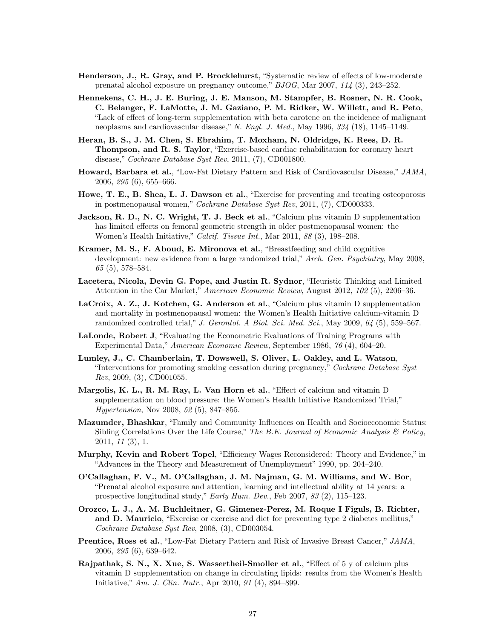- Henderson, J., R. Gray, and P. Brocklehurst, "Systematic review of effects of low-moderate prenatal alcohol exposure on pregnancy outcome," BJOG, Mar 2007, 114 (3), 243–252.
- Hennekens, C. H., J. E. Buring, J. E. Manson, M. Stampfer, B. Rosner, N. R. Cook, C. Belanger, F. LaMotte, J. M. Gaziano, P. M. Ridker, W. Willett, and R. Peto, "Lack of effect of long-term supplementation with beta carotene on the incidence of malignant neoplasms and cardiovascular disease," N. Engl. J. Med., May 1996, 334 (18), 1145–1149.
- Heran, B. S., J. M. Chen, S. Ebrahim, T. Moxham, N. Oldridge, K. Rees, D. R. Thompson, and R. S. Taylor, "Exercise-based cardiac rehabilitation for coronary heart disease," Cochrane Database Syst Rev, 2011, (7), CD001800.
- Howard, Barbara et al., "Low-Fat Dietary Pattern and Risk of Cardiovascular Disease," JAMA, 2006, 295 (6), 655–666.
- Howe, T. E., B. Shea, L. J. Dawson et al., "Exercise for preventing and treating osteoporosis in postmenopausal women," Cochrane Database Syst Rev, 2011, (7), CD000333.
- Jackson, R. D., N. C. Wright, T. J. Beck et al., "Calcium plus vitamin D supplementation has limited effects on femoral geometric strength in older postmenopausal women: the Women's Health Initiative," Calcif. Tissue Int., Mar 2011, 88 (3), 198–208.
- Kramer, M. S., F. Aboud, E. Mironova et al., "Breastfeeding and child cognitive development: new evidence from a large randomized trial," Arch. Gen. Psychiatry, May 2008, 65 (5), 578–584.
- Lacetera, Nicola, Devin G. Pope, and Justin R. Sydnor, "Heuristic Thinking and Limited Attention in the Car Market," American Economic Review, August 2012, 102 (5), 2206–36.
- LaCroix, A. Z., J. Kotchen, G. Anderson et al., "Calcium plus vitamin D supplementation and mortality in postmenopausal women: the Women's Health Initiative calcium-vitamin D randomized controlled trial," J. Gerontol. A Biol. Sci. Med. Sci., May 2009,  $64$  (5), 559–567.
- LaLonde, Robert J, "Evaluating the Econometric Evaluations of Training Programs with Experimental Data," American Economic Review, September 1986, 76 (4), 604–20.
- Lumley, J., C. Chamberlain, T. Dowswell, S. Oliver, L. Oakley, and L. Watson, "Interventions for promoting smoking cessation during pregnancy," Cochrane Database Syst Rev, 2009, (3), CD001055.
- Margolis, K. L., R. M. Ray, L. Van Horn et al., "Effect of calcium and vitamin D supplementation on blood pressure: the Women's Health Initiative Randomized Trial," Hypertension, Nov 2008, 52 (5), 847–855.
- Mazumder, Bhashkar, "Family and Community Influences on Health and Socioeconomic Status: Sibling Correlations Over the Life Course," The B.E. Journal of Economic Analysis  $\mathcal B$  Policy, 2011, 11 (3), 1.
- Murphy, Kevin and Robert Topel, "Efficiency Wages Reconsidered: Theory and Evidence," in "Advances in the Theory and Measurement of Unemployment" 1990, pp. 204–240.
- O'Callaghan, F. V., M. O'Callaghan, J. M. Najman, G. M. Williams, and W. Bor, "Prenatal alcohol exposure and attention, learning and intellectual ability at 14 years: a prospective longitudinal study," Early Hum. Dev., Feb 2007, 83 (2), 115–123.
- Orozco, L. J., A. M. Buchleitner, G. Gimenez-Perez, M. Roque I Figuls, B. Richter, and D. Mauricio, "Exercise or exercise and diet for preventing type 2 diabetes mellitus," Cochrane Database Syst Rev, 2008, (3), CD003054.
- Prentice, Ross et al., "Low-Fat Dietary Pattern and Risk of Invasive Breast Cancer," JAMA, 2006, 295 (6), 639–642.
- Rajpathak, S. N., X. Xue, S. Wassertheil-Smoller et al., "Effect of 5 y of calcium plus vitamin D supplementation on change in circulating lipids: results from the Women's Health Initiative," Am. J. Clin. Nutr., Apr 2010, 91 (4), 894–899.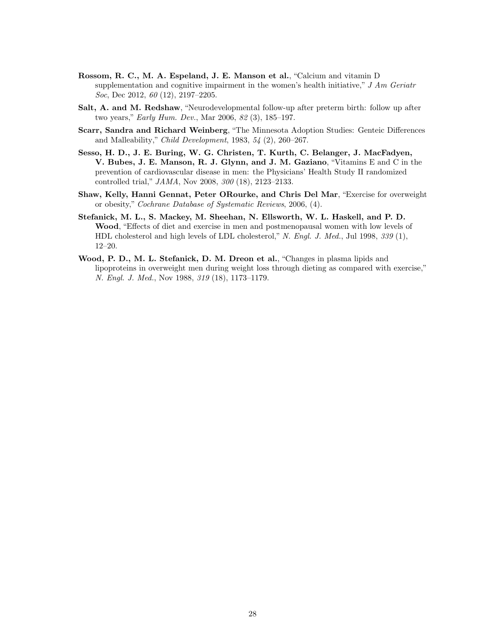- Rossom, R. C., M. A. Espeland, J. E. Manson et al., "Calcium and vitamin D supplementation and cognitive impairment in the women's health initiative,"  $J Am$  Geriatr Soc, Dec 2012,  $60$  (12), 2197–2205.
- Salt, A. and M. Redshaw, "Neurodevelopmental follow-up after preterm birth: follow up after two years," Early Hum. Dev., Mar 2006, 82 (3), 185–197.
- Scarr, Sandra and Richard Weinberg, "The Minnesota Adoption Studies: Genteic Differences and Malleability," Child Development, 1983,  $54$  (2), 260–267.
- Sesso, H. D., J. E. Buring, W. G. Christen, T. Kurth, C. Belanger, J. MacFadyen, V. Bubes, J. E. Manson, R. J. Glynn, and J. M. Gaziano, "Vitamins E and C in the prevention of cardiovascular disease in men: the Physicians' Health Study II randomized controlled trial," JAMA, Nov 2008, 300 (18), 2123–2133.
- Shaw, Kelly, Hanni Gennat, Peter ORourke, and Chris Del Mar, "Exercise for overweight or obesity," Cochrane Database of Systematic Reviews, 2006, (4).
- Stefanick, M. L., S. Mackey, M. Sheehan, N. Ellsworth, W. L. Haskell, and P. D. Wood, "Effects of diet and exercise in men and postmenopausal women with low levels of HDL cholesterol and high levels of LDL cholesterol," N. Engl. J. Med., Jul 1998, 339 (1), 12–20.
- Wood, P. D., M. L. Stefanick, D. M. Dreon et al., "Changes in plasma lipids and lipoproteins in overweight men during weight loss through dieting as compared with exercise," N. Engl. J. Med., Nov 1988, 319 (18), 1173–1179.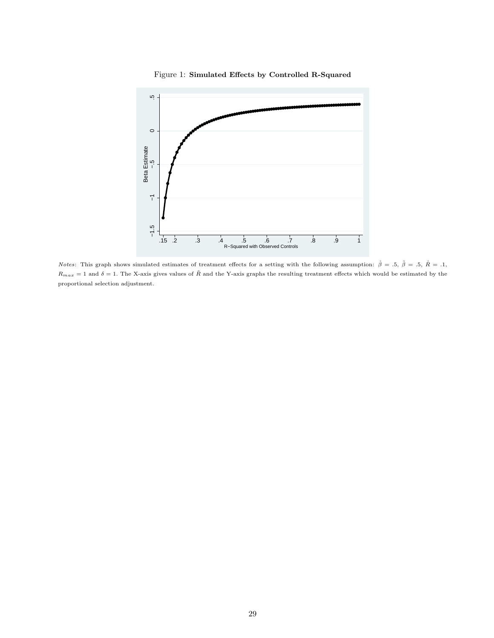<span id="page-29-0"></span>

Figure 1: Simulated Effects by Controlled R-Squared

*Notes*: This graph shows simulated estimates of treatment effects for a setting with the following assumption:  $\dot{\beta} = .5$ ,  $\dot{\beta} = .5$ ,  $\dot{R} = .1$ ,  $R_{max} = 1$  and  $\delta = 1$ . The X-axis gives values of  $\tilde{R}$  and the Y-axis graphs the resulting treatment effects which would be estimated by the proportional selection adjustment.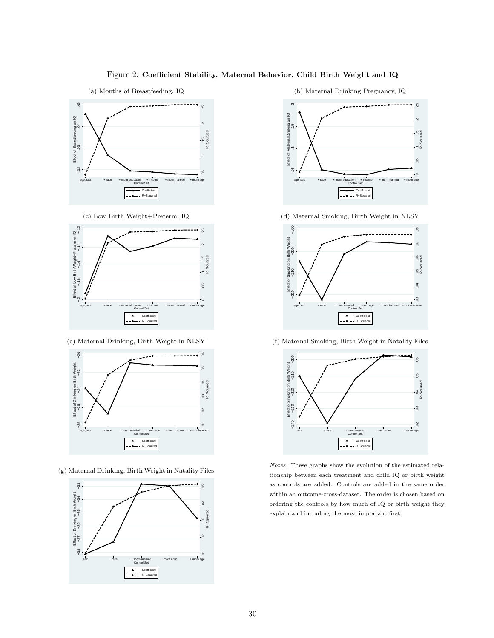# Figure 2: Coefficient Stability, Maternal Behavior, Child Birth Weight and IQ

<span id="page-30-0"></span>



(c) Low Birth Weight+Preterm, IQ



(e) Maternal Drinking, Birth Weight in NLSY



(g) Maternal Drinking, Birth Weight in Natality Files



(b) Maternal Drinking Pregnancy, IQ



(d) Maternal Smoking, Birth Weight in NLSY



(f) Maternal Smoking, Birth Weight in Natality Files



Notes: These graphs show the evolution of the estimated relationship between each treatment and child IQ or birth weight as controls are added. Controls are added in the same order within an outcome-cross-dataset. The order is chosen based on ordering the controls by how much of IQ or birth weight they explain and including the most important first.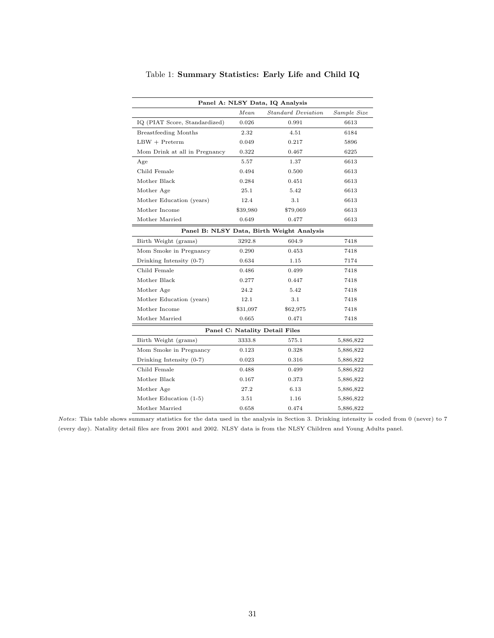<span id="page-31-0"></span>

| Panel A: NLSY Data, IQ Analysis |          |                                           |             |  |  |
|---------------------------------|----------|-------------------------------------------|-------------|--|--|
|                                 | Mean     | <b>Standard Deviation</b>                 | Sample Size |  |  |
| IQ (PIAT Score, Standardized)   | 0.026    | 0.991                                     | 6613        |  |  |
| <b>Breastfeeding Months</b>     | 2.32     | 4.51                                      | 6184        |  |  |
| $LBW + Preterm$                 | 0.049    | 0.217                                     | 5896        |  |  |
| Mom Drink at all in Pregnancy   | 0.322    | 0.467                                     | 6225        |  |  |
| Age                             | 5.57     | 1.37                                      | 6613        |  |  |
| Child Female                    | 0.494    | 0.500                                     | 6613        |  |  |
| Mother Black                    | 0.284    | 0.451                                     | 6613        |  |  |
| Mother Age                      | 25.1     | 5.42                                      | 6613        |  |  |
| Mother Education (years)        | 12.4     | 3.1                                       | 6613        |  |  |
| Mother Income                   | \$39,980 | \$79,069                                  | 6613        |  |  |
| Mother Married                  | 0.649    | 0.477                                     | 6613        |  |  |
|                                 |          | Panel B: NLSY Data, Birth Weight Analysis |             |  |  |
| Birth Weight (grams)            | 3292.8   | 604.9                                     | 7418        |  |  |
| Mom Smoke in Pregnancy          | 0.290    | 0.453                                     | 7418        |  |  |
| Drinking Intensity $(0-7)$      | 0.634    | 1.15                                      | 7174        |  |  |
| Child Female                    | 0.486    | 0.499                                     | 7418        |  |  |
| Mother Black                    | 0.277    | 0.447                                     | 7418        |  |  |
| Mother Age                      | 24.2     | 5.42                                      | 7418        |  |  |
| Mother Education (years)        | 12.1     | 3.1                                       | 7418        |  |  |
| Mother Income                   | \$31,097 | \$62,975                                  | 7418        |  |  |
| Mother Married                  | 0.665    | 0.471                                     | 7418        |  |  |
| Panel C: Natality Detail Files  |          |                                           |             |  |  |
| Birth Weight (grams)            | 3333.8   | 575.1                                     | 5,886,822   |  |  |
| Mom Smoke in Pregnancy          | 0.123    | 0.328                                     | 5,886,822   |  |  |
| Drinking Intensity $(0-7)$      | 0.023    | 0.316                                     | 5,886,822   |  |  |
| Child Female                    | 0.488    | 0.499                                     | 5,886,822   |  |  |
| Mother Black                    | 0.167    | 0.373                                     | 5,886,822   |  |  |
| Mother Age                      | 27.2     | 6.13                                      | 5,886,822   |  |  |
| Mother Education (1-5)          | 3.51     | 1.16                                      | 5,886,822   |  |  |
| Mother Married                  | 0.658    | 0.474                                     | 5,886,822   |  |  |

Table 1: Summary Statistics: Early Life and Child IQ

Notes: This table shows summary statistics for the data used in the analysis in Section 3. Drinking intensity is coded from 0 (never) to 7 (every day). Natality detail files are from 2001 and 2002. NLSY data is from the NLSY Children and Young Adults panel.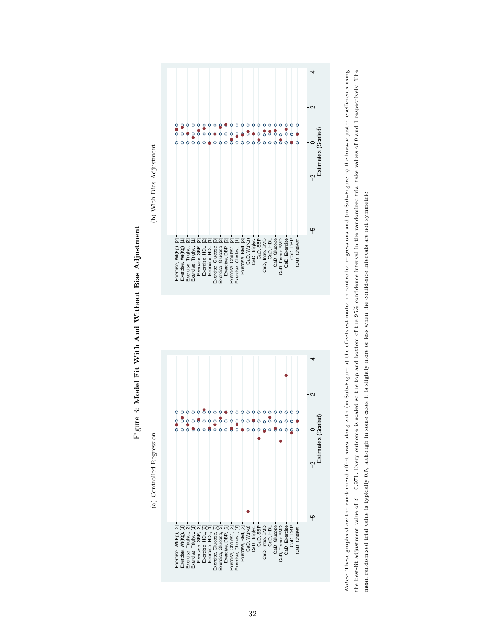<span id="page-32-0"></span>



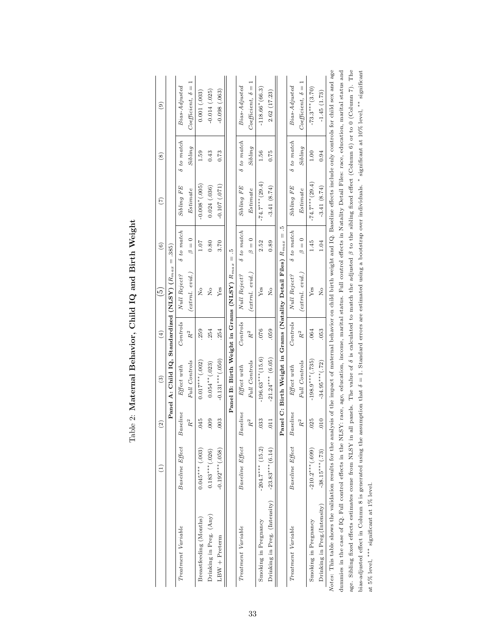<span id="page-33-0"></span>

|                                                                                                                                                                                                        | $\widehat{\Xi}$    | ି                           | $\widehat{\mathbf{e}}$                                             | $\left( \pm \right)$        | 6                              | $\widehat{6}$        | $(\tilde{\tau})$  | $\overset{\circ}{(8)}$ | $\widehat{e}$           |
|--------------------------------------------------------------------------------------------------------------------------------------------------------------------------------------------------------|--------------------|-----------------------------|--------------------------------------------------------------------|-----------------------------|--------------------------------|----------------------|-------------------|------------------------|-------------------------|
|                                                                                                                                                                                                        |                    |                             | Panel A: Child IQ, Standardized (NLSY) $(R_{max}$                  |                             |                                | $= .385$             |                   |                        |                         |
| Treatment Variable                                                                                                                                                                                     | Baseline Effect    | Baseline                    | Effect with                                                        | Controls                    | Null Reject?                   | $\delta$ to match    | $Sibling$ $FE$    | $\delta$ to match      | $Bias\text{-}Adjusted$  |
|                                                                                                                                                                                                        |                    | $\ensuremath{R}^2$          | <b>Full Controls</b>                                               | $R^2$                       | $'$ extrnl. evid.)             | $\beta = 0$          | Estimate          | Sibling                | $Coefficient, \delta =$ |
| Breastfeeding (Months)                                                                                                                                                                                 | $0.045***$ (.003)  | .045                        | $0.017***$ (.002)                                                  | 259                         | $\frac{1}{2}$                  | 1.07                 | $-0.008*(.005)$   | 1.59                   | 0.001(0.003)            |
| Drinking in Preg. (Any)                                                                                                                                                                                | $0.183***$ (.026)  | .009                        | $0.054**$ (.023)                                                   | 254                         | $\mathop{\mathsf{S}}\nolimits$ | 0.80                 | 0.024(.036)       | 0.43                   | $-0.014$ $(.025)$       |
| $LBW + Preterm$                                                                                                                                                                                        | $-0.192***$ (.058) | 003                         | $-0.131***$ (.050)                                                 | 254                         | Yes                            | 3.70                 | $-0.107(071)$     | 0.73                   | $-0.098(.063)$          |
|                                                                                                                                                                                                        |                    |                             | Panel B: Birth Weight in Grams (NLSY) $R_{max}$                    |                             |                                | 'n.<br>$\parallel$   |                   |                        |                         |
| Treatment Variable                                                                                                                                                                                     | Baseline Effect    | Baseline                    | Effect with                                                        | Controls                    | Null Reject?                   | $\delta$ to match    | $Sibling$ $FE$    | $\delta$ to match      | Bias-Adjusted           |
|                                                                                                                                                                                                        |                    | $\ensuremath{R^2}\xspace$   | <b>Full</b> Controls                                               | $\ensuremath{R^2}\xspace$   | $(extrnl. \text{ } evid.)$     | $\frac{0}{\pi}$<br>d | Estimate          | Sibling                | $Coefficient, \delta =$ |
| Smoking in Pregnancy                                                                                                                                                                                   | $-204.7***$ (15.2) | 033                         | $-196.63***$ (15.6)                                                | 076                         | ${\rm Yes}$                    | 2.52                 | $-74.7***$ (29.4) | 1.56                   | $-118.66*(66.3)$        |
| Drinking in Preg. (Intensity)                                                                                                                                                                          | $-23.83***$ (6.14) | .011                        | $-21.24***$ (6.05)                                                 | 059                         | $\frac{1}{2}$                  | 0.89                 | $-3.41(8.74)$     | 0.75                   | 2.62(17.23)             |
|                                                                                                                                                                                                        |                    |                             | Panel C: Birth Weight in Grams (Natality Detail Files) $R_{max} =$ |                             |                                | ĩ.                   |                   |                        |                         |
| Treatment Variable                                                                                                                                                                                     | Baseline Effect    | Baseline                    | Effect with                                                        | Controls                    | Null Reject?                   | δ to match           | $Sibling$ $FE$    | δ to match             | $Bias\text{-}Adjusted$  |
|                                                                                                                                                                                                        |                    | $\ensuremath{R^{2}}\xspace$ | <b>Full</b> Controls                                               | $\ensuremath{R^{2}}\xspace$ | $(extml. \; evid.)$            | $\beta = 0$          | Estimate          | Sibling                | $Coefficient, \delta =$ |
| Smoking in Pregnancy                                                                                                                                                                                   | $-210.2***$ (.699) | .025                        | $-198.9***$ (.735)                                                 | .064                        | Yes                            | 1.45                 | $-74.7***$ (29.4) | 1.00                   | $-73.3***$ (3.70)       |
| Drinking in Preg.(Intensity)                                                                                                                                                                           | $-38.15***$ (.73)  | $010$ .                     | $-34.95***$ (.72)                                                  | 053                         | $\frac{1}{2}$                  | 1.04                 | $-3.41(8.74)$     | 0.94                   | $-1.45(1.73)$           |
| Notes: This table shows the validation results for the analysis of the impact of maternal behavior on child birth weight and IQ. Baseline effects include only controls for child sex and age          |                    |                             |                                                                    |                             |                                |                      |                   |                        |                         |
| dummies in the case of IQ. Full control effects in the NLSY: race, age, education, income, marital status. Full control effects in Natality Detail Files: race, education, marital status and          |                    |                             |                                                                    |                             |                                |                      |                   |                        |                         |
| age. Sibling fixed effects estimates come from NLSY in all panels. The value of $\delta$ is calculated to match the adjusted $\beta$ to the sibling fixed effect (Column 6) or to 0 (Column 7). The    |                    |                             |                                                                    |                             |                                |                      |                   |                        |                         |
| bias-adjusted effect in Column 8 is generated using the assumption that $\delta = 1$ . Standard errors are estimated using a bootstrap over individuals. $*$ significant at 10% level, $*$ significant |                    |                             |                                                                    |                             |                                |                      |                   |                        |                         |
| at 5% level, *** significant at 1% level.                                                                                                                                                              |                    |                             |                                                                    |                             |                                |                      |                   |                        |                         |

# Table 2: Maternal Behavior, Child IQ and Birth Weight Table 2: Maternal Behavior, Child IQ and Birth Weight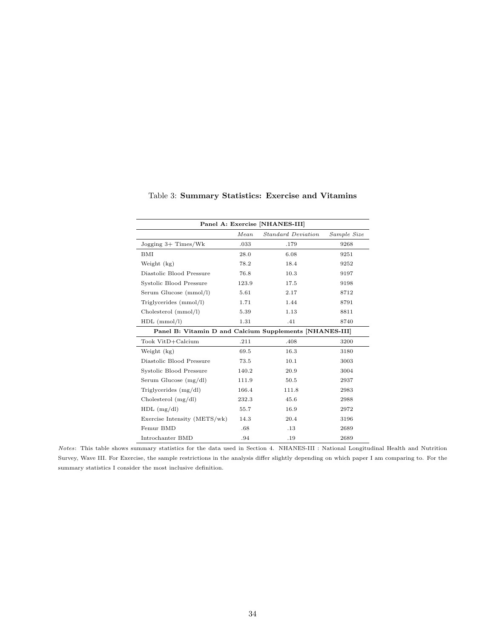<span id="page-34-0"></span>

| Panel A: Exercise [NHANES-III]                          |       |                    |             |  |
|---------------------------------------------------------|-------|--------------------|-------------|--|
|                                                         | Mean  | Standard Deviation | Sample Size |  |
| Jogging 3+ Times/Wk                                     | .033  | .179               | 9268        |  |
| BMI                                                     | 28.0  | 6.08               | 9251        |  |
| Weight (kg)                                             | 78.2  | 18.4               | 9252        |  |
| Diastolic Blood Pressure                                | 76.8  | 10.3               | 9197        |  |
| Systolic Blood Pressure                                 | 123.9 | 17.5               | 9198        |  |
| Serum Glucose (mmol/l)                                  | 5.61  | 2.17               | 8712        |  |
| Triglycerides (mmol/l)                                  | 1.71  | 1.44               | 8791        |  |
| Cholesterol (mmol/l)                                    | 5.39  | 1.13               | 8811        |  |
| $HDL$ (mmol/l)                                          | 1.31  | .41                | 8740        |  |
| Panel B: Vitamin D and Calcium Supplements [NHANES-III] |       |                    |             |  |
| Took VitD+Calcium                                       | .211  | .408               | 3200        |  |
| Weight (kg)                                             | 69.5  | 16.3               | 3180        |  |
| Diastolic Blood Pressure                                | 73.5  | 10.1               | 3003        |  |
| Systolic Blood Pressure                                 | 140.2 | 20.9               | 3004        |  |
| Serum Glucose $(mg/dl)$                                 | 111.9 | 50.5               | 2937        |  |
| Triglycerides $(mg/dl)$                                 | 166.4 | 111.8              | 2983        |  |
| Cholesterol $(mg/dl)$                                   | 232.3 | 45.6               | 2988        |  |
| $HDL$ (mg/dl)                                           | 55.7  | 16.9               | 2972        |  |
| Exercise Intensity (METS/wk)                            | 14.3  | 20.4               | 3196        |  |
| Femur BMD                                               | .68   | .13                | 2689        |  |
| Introchanter BMD                                        | .94   | .19                | 2689        |  |

Table 3: Summary Statistics: Exercise and Vitamins

Notes: This table shows summary statistics for the data used in Section 4. NHANES-III : National Longitudinal Health and Nutrition Survey, Wave III. For Exercise, the sample restrictions in the analysis differ slightly depending on which paper I am comparing to. For the summary statistics I consider the most inclusive definition.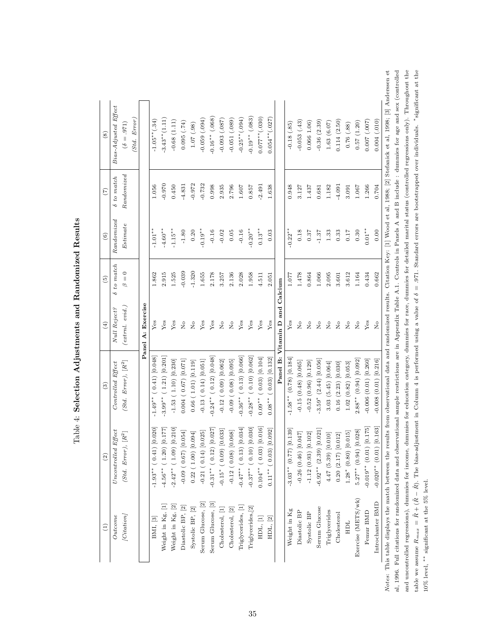<span id="page-35-0"></span>

| Null Reject?<br>Controlled Effect                                         |
|---------------------------------------------------------------------------|
| $(extrnl. \; evid.)$<br>$(Std. Error), [R^2]$                             |
|                                                                           |
| Panel A: Exercise                                                         |
| Yes<br>$-1.49**$ (0.41) [0.048]                                           |
| Yes<br>$-3.99***$ (1.21) $[0.201]$                                        |
| ${\rm Yes}$<br>$-1.53(1.10)[0.230]$                                       |
| $\stackrel{\circ}{\phantom{}_{\sim}}$<br>0.004(0.67)[0.071]               |
| $\overline{R}$<br>0.66(1.01)[0.119]                                       |
| Yes<br>$-0.13(0.14)[0.051]$                                               |
| ${\rm Yes}$<br>$-0.24***$ ( 0.12) [0.048]                                 |
| $\rm _{Z}^{\circ}$<br>$-0.12$ (0.09) [0.062]                              |
| $\overline{R}$<br>$-0.09$ (0.08) [0.095]                                  |
| Yes<br>$-0.36**$ (0.13) [0.066]                                           |
| Yes<br>$-0.28**$ (0.10) [0.062]                                           |
| Yes<br>$0.09***$ (0.03) [0.104]                                           |
| Yes<br>$(0.03)$ $[0.132]$                                                 |
| Panel B: Vitamin D and Calcium                                            |
| Yes<br>$-1.58$ * (0.78) [0.184]                                           |
| $\stackrel{\circ}{\phantom{}_{\sim}}$<br>$-0.15(0.48)[0.065]$             |
| $\rm \stackrel{o}{\simeq}$<br>$-0.52(0.96)[0.129]$                        |
| $_{\rm N_o}^{\circ}$<br>$-3.59*$ $(2.44)$ $[0.056]$                       |
| $\overline{R}$<br>3.03(5.45)[0.064]                                       |
| $\stackrel{\circ}{\phantom{}_{\sim}}$<br>0.16(2.23)[0.030]                |
| $\overline{R}$<br>1.02(0.82)[0.053]                                       |
| $\stackrel{\circ}{\phantom{}_{\sim}}$<br>$2.88***$ (0.94) [0.092]         |
| Yes<br>$-0.006(0.01)[0.260]$                                              |
| $\rm \stackrel{\circ}{\rm \scriptstyle X}$<br>$-0.008$ $(0.01)$ $[0.216]$ |

Table 4: Selection Adjustments and Randomized Results Table 4: Selection Adjustments and Randomized Results

 $_{\rm en}$ et al, 1996. Full citations for randomized data and observational sample restrictions are in Appendix Table A.1. Controls in Panels A and B include: dummies for age and sex (controlled and uncontrolled regressions), dummies for income, dummies for education category, dummies for derailed marital status (controlled regressions only). Throughout the al, 1996. Full citations for randomized data and observational sample restrictions are in Appendix Table A.1. Controls in Panels A and B include : dummies for age and sex (controlled and uncontrolled regressions), dummies for income, dummies for education category, dummies for detailed marital status (controlled regressions only). Throughout the  $\tilde{R}-\tilde{R}$ ). The bias-adjustment in Column 4 is performed using a value of  $\delta=.971$ . Standard errors are bootstrapped over individuals. \*significant at the Notes: This table displays the match between the results from observational data and randomized results. Citation Key: [1] Wood et al, 1988; [2] Stefanick et al, 1998; [3] Anderssen et al., 1998; [3] Anderssen et al., 1998 10% level, ∗∗ significant at the 5% level.  $\tilde{R}$  + ( $\tilde{R}$ table we assume  $R_{max}$  = Notes: Tl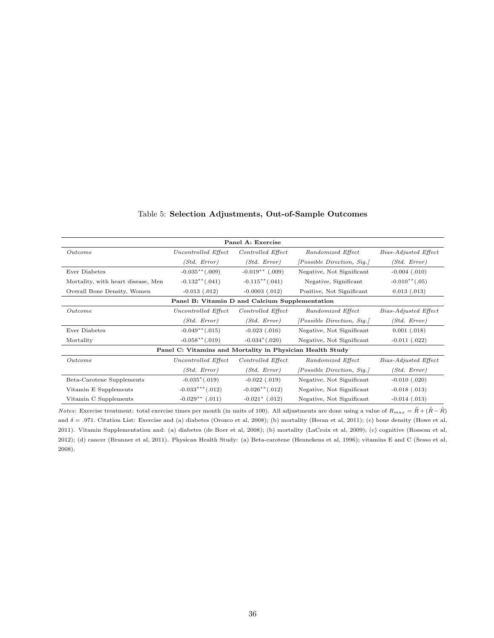<span id="page-36-0"></span>

| Panel A: Exercise                                         |                                                |                                 |                                   |                      |
|-----------------------------------------------------------|------------------------------------------------|---------------------------------|-----------------------------------|----------------------|
| Outcome                                                   | Uncontrolled Effect                            | Controlled Effect               | Randomized Effect                 | Bias-Adjusted Effect |
|                                                           | (Std. Error)                                   | (Std. Error)                    | <i>[Possible Direction, Sig.]</i> | (Std. Error)         |
| Ever Diabetes                                             | $-0.035**(.009)$                               | $-0.019$ ** (.009)              | Negative, Not Significant         | $-0.004$ $(.010)$    |
| Mortality, with heart disease, Men                        | $-0.132**(.041)$                               | $-0.115**(.041)$                | Negative, Significant             | $-0.010**$ (.05)     |
| Overall Bone Density, Women                               | $-0.013$ $(.012)$                              | $-0.0003$ $(.012)$              | Positive, Not Significant         | $0.013$ $(.013)$     |
|                                                           | Panel B: Vitamin D and Calcium Supplementation |                                 |                                   |                      |
| Outcome                                                   | Uncontrolled Effect                            | Controlled Effect               | Randomized Effect                 | Bias-Adjusted Effect |
|                                                           | (Std. Error)                                   | (Std. Error)                    | <i>[Possible Direction, Sig.]</i> | (Std. Error)         |
| Ever Diabetes                                             | $-0.049**(.015)$                               | $-0.023$ $(.016)$               | Negative, Not Significant         | $0.001$ $(.018)$     |
| Mortality                                                 | $-0.058**(.019)$                               | $-0.034*(.020)$                 | Negative, Not Significant         | $-0.011$ $(.022)$    |
| Panel C: Vitamins and Mortality in Physician Health Study |                                                |                                 |                                   |                      |
| Outcome                                                   | Uncontrolled Effect                            | Controlled Effect               | Randomized Effect                 | Bias-Adjusted Effect |
|                                                           | (Std. Error)                                   | (Std. Error)                    | <i>[Possible Direction, Sig.]</i> | (Std. Error)         |
| Beta-Carotene Supplements                                 | $-0.035^*(.019)$                               | $-0.022$ $(.019)$               | Negative, Not Significant         | $-0.010$ $(.020)$    |
| Vitamin E Supplements                                     | $-0.033***$ (.012)                             | $-0.026$ <sup>**</sup> $(.012)$ | Negative, Not Significant         | $-0.018$ $(.013)$    |
| Vitamin C Supplements                                     | $-0.029**$ (.011)                              | $-0.021^*$ (.012)               | Negative, Not Significant         | $-0.014$ $(.013)$    |

# Table 5: Selection Adjustments, Out-of-Sample Outcomes

*Notes*: Exercise treatment: total exercise times per month (in units of 100). All adjustments are done using a value of  $R_{max} = \tilde{R} + (\tilde{R} - \tilde{R})$ and δ = .971. Citation List: Exercise and (a) diabetes (Orozco et al, 2008); (b) mortality (Heran et al, 2011); (c) bone density (Howe et al, 2011). Vitamin Supplementation and: (a) diabetes (de Boer et al, 2008); (b) mortality (LaCroix et al, 2009); (c) cognitive (Rossom et al, 2012); (d) cancer (Brunner et al, 2011). Physican Health Study: (a) Beta-carotene (Hennekens et al, 1996); vitamins E and C (Sesso et al, 2008).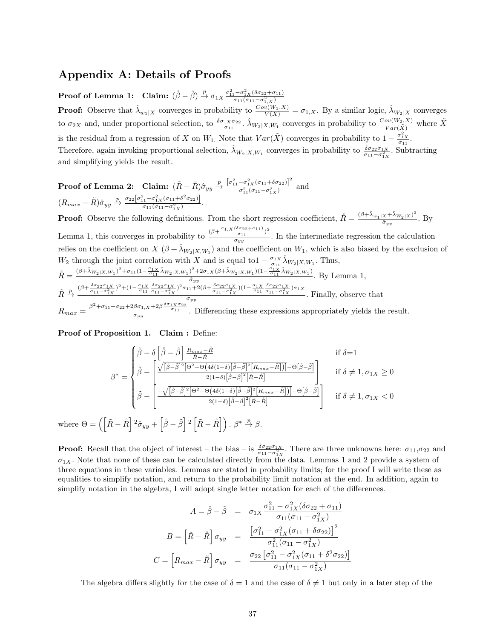# Appendix A: Details of Proofs

Proof of Lemma 1: Claim:  $(\mathring{\beta} - \tilde{\beta}) \stackrel{p}{\rightarrow} \sigma_{1X} \frac{\sigma_{11}^2 - \sigma_{1X}^2 (\delta \sigma_{22} + \sigma_{11})}{\sigma_{11}(\sigma_{11} - \sigma_{1,X}^2)}$ **Proof:** Observe that  $\hat{\lambda}_{w_1|X}$  converges in probability to  $\frac{Cov(W_1,X)}{V(X)} = \sigma_{1,X}$ . By a similar logic,  $\hat{\lambda}_{W_2|X}$  converges to  $\sigma_{2X}$  and, under proportional selection, to  $\frac{\delta \sigma_{1X}\sigma_{22}}{\sigma_{11}}$ .  $\hat{\lambda}_{W_2|X,W_1}$  converges in probability to  $\frac{Cov(W_2,X)}{Var(\tilde{X})}$  where  $\tilde{X}$ is the residual from a regression of X on  $W_1$ . Note that  $Var(\tilde{X})$  converges in probability to  $1 - \frac{\sigma_{1X}^2}{\sigma_{11}}$ . Therefore, again invoking proportional selection,  $\hat{\lambda}_{W_2|X,W_1}$  converges in probability to  $\frac{\delta \sigma_{22} \sigma_{1X}}{\sigma_{11}-\sigma_{1X}^2}$ . Subtracting and simplifying yields the result.

**Proof of Lemma 2:** Claim:  $(\tilde{R} - \mathring{R})\hat{\sigma}_{yy} \stackrel{p}{\rightarrow} \frac{[\sigma_{11}^2 - \sigma_{1X}^2(\sigma_{11} + \delta \sigma_{22})]^2}{\sigma^2(\sigma_{11} - \sigma^2)}$  $\frac{\sigma_{1X}(0.11 + 0.022)}{\sigma_{11}^2(\sigma_{11} - \sigma_{1X}^2)}$  and  $(R_{max}-\tilde{R})\hat{\sigma}_{yy} \stackrel{p}{\rightarrow} \frac{\sigma_{22}[\sigma_{11}^2-\sigma_{1X}^2(\sigma_{11}+\delta^2\sigma_{22})]}{\sigma_{11}(\sigma_{11}-\sigma^2)}$  $\frac{\sigma_{11}(\sigma_{11}-\sigma_{1X}^2)}{\sigma_{11}(\sigma_{11}-\sigma_{1X}^2)}$ .

**Proof:** Observe the following definitions. From the short regression coefficient,  $\mathring{R} = \frac{(\beta + \hat{\lambda}_{w_1|X} + \hat{\lambda}_{W_2|X})^2}{\hat{\sigma}}$  $\frac{x + \alpha W_2(X)}{\hat{\sigma}_{yy}}$ . By Lemma 1, this converges in probability to  $\frac{(\beta+\frac{\sigma_{1,X}(\delta\sigma_{22}+\sigma_{11})}{\sigma_{11}})^2}{\sigma_{11}}$  $\frac{\sigma_{11}}{\sigma_{yy}}$ . In the intermediate regression the calculation relies on the coefficient on  $X$   $(\beta + \lambda_{W_2|X,W_1})$  and the coefficient on  $W_1$ , which is also biased by the exclusion of W<sub>2</sub> through the joint correlation with X and is equal to1  $-\frac{\sigma_{1X}}{\sigma_{11}}\hat{\lambda}_{W_2|X,W_1}$ . Thus,  $\tilde{R} = \frac{(\beta + \hat{\lambda}_{W_2|X,W_1})^2 + \sigma_{11}(1 - \frac{\sigma_{1X}}{\sigma_{11}}\hat{\lambda}_{W_2|X,W_1})^2 + 2\sigma_{1X}(\beta + \hat{\lambda}_{W_2|X,W_1})(1 - \frac{\sigma_{1X}}{\sigma_{11}}\hat{\lambda}_{W_2|X,W_1})}{\hat{\sigma}_{11}}$  $\frac{\sigma_{11} \cdots \sigma_{1k} \left(\beta + \gamma_{W_2|X,W_1}\right) \left(1 - \sigma_{11} \cdot \gamma_{W_2|X,W_1}\right)}{\sigma_{yy}}$ . By Lemma 1,

$$
\tilde{R} \stackrel{p}{\rightarrow} \frac{(\beta + \frac{\delta \sigma_{22} \sigma_{1X}}{\sigma_{11} - \sigma_{1X}^2})^2 + (1 - \frac{\sigma_{1X}}{\sigma_{11}} \frac{\delta \sigma_{22} \sigma_{1X}}{\sigma_{11} - \sigma_{1X}^2})^2 \sigma_{11} + 2(\beta + \frac{\delta \sigma_{22} \sigma_{1X}}{\sigma_{11} - \sigma_{1X}^2})(1 - \frac{\sigma_{1X}}{\sigma_{11}} \frac{\delta \sigma_{22} \sigma_{1X}}{\sigma_{11} - \sigma_{1X}^2}) \sigma_{1X}}{\sigma_{yy}}.
$$
 Finally, observe that  
\n
$$
R_{max} = \frac{\beta^2 + \sigma_{11} + \sigma_{22} + 2\beta \sigma_{1,X} + 2\beta \frac{\delta \sigma_{1X} \sigma_{22}}{\sigma_{11}}}{\sigma_{yy}}.
$$
 Differenting these expressions appropriately yields the result.

Proof of Proposition 1. Claim : Define:

$$
\beta^* = \begin{cases}\n\tilde{\beta} - \delta \left[ \dot{\beta} - \tilde{\beta} \right] \frac{R_{max} - \tilde{R}}{\tilde{R} - \tilde{R}} & \text{if } \delta = 1 \\
\tilde{\beta} - \left[ \frac{\sqrt{[\dot{\beta} - \tilde{\beta}]^2 [\Theta^2 + \Theta(4\delta(1 - \delta)[\dot{\beta} - \tilde{\beta}]^2 [R_{max} - \tilde{R}])] - \Theta[\dot{\beta} - \tilde{\beta}]}{2(1 - \delta)[\dot{\beta} - \tilde{\beta}]^2 [\tilde{R} - \tilde{R}]} & \text{if } \delta \neq 1, \sigma_{1X} \geq 0 \\
\tilde{\beta} - \left[ \frac{-\sqrt{[\dot{\beta} - \tilde{\beta}]^2 [\Theta^2 + \Theta(4\delta(1 - \delta)[\dot{\beta} - \tilde{\beta}]^2 [R_{max} - \tilde{R}])] - \Theta[\dot{\beta} - \tilde{\beta}]}{2(1 - \delta)[\dot{\beta} - \tilde{\beta}]^2 [\tilde{R} - \tilde{R}]} & \text{if } \delta \neq 1, \sigma_{1X} < 0\n\end{cases}
$$
\n
$$
\left[ \tilde{R} - \mathring{R} \right]^2 \hat{\sigma}_{yy} + \left[ \mathring{\beta} - \tilde{\beta} \right]^2 \left[ \tilde{R} - \mathring{R} \right] \right), \beta^* \xrightarrow{P} \beta.
$$

where  $\Theta = \left( \begin{array}{c} \end{array} \right)$  $\left[ \begin{array}{c} 2 \hat{\sigma}_{yy} + \left[ \hat{\beta} - \tilde{\beta} \right] 2 \end{array} \right]$  $\tilde{R}-\mathring{R}$ i . β<sup>∗</sup>

**Proof:** Recall that the object of interest – the bias – is  $\frac{\delta \sigma_{22} \sigma_{1X}}{\sigma_{11}-\sigma_{1X}^2}$ . There are three unknowns here:  $\sigma_{11},\sigma_{22}$  and  $\sigma_{1X}$ . Note that none of these can be calculated directly from the data. Lemmas 1 and 2 provide a system of three equations in these variables. Lemmas are stated in probability limits; for the proof I will write these as equalities to simplify notation, and return to the probability limit notation at the end. In addition, again to simplify notation in the algebra, I will adopt single letter notation for each of the differences.

$$
A = \mathring{\beta} - \tilde{\beta} = \sigma_{1X} \frac{\sigma_{11}^2 - \sigma_{1X}^2 (\delta \sigma_{22} + \sigma_{11})}{\sigma_{11} (\sigma_{11} - \sigma_{1X}^2)}
$$

$$
B = \left[ \tilde{R} - \mathring{R} \right] \sigma_{yy} = \frac{\left[ \sigma_{11}^2 - \sigma_{1X}^2 (\sigma_{11} + \delta \sigma_{22}) \right]^2}{\sigma_{11}^2 (\sigma_{11} - \sigma_{1X}^2)}
$$

$$
C = \left[ R_{max} - \tilde{R} \right] \sigma_{yy} = \frac{\sigma_{22} \left[ \sigma_{11}^2 - \sigma_{1X}^2 (\sigma_{11} + \delta^2 \sigma_{22}) \right]}{\sigma_{11} (\sigma_{11} - \sigma_{1X}^2)}
$$

The algebra differs slightly for the case of  $\delta = 1$  and the case of  $\delta \neq 1$  but only in a later step of the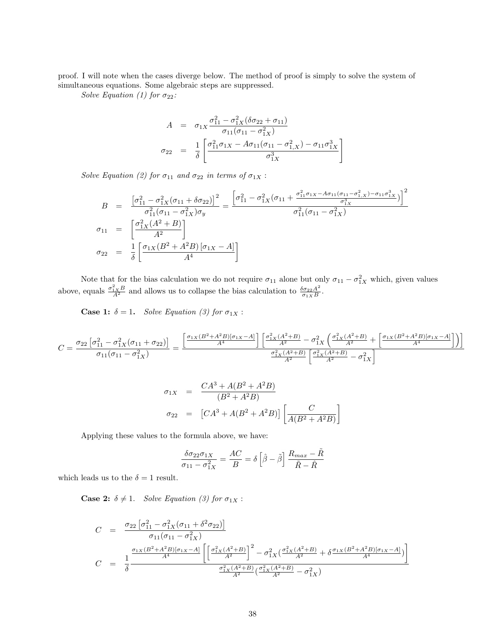proof. I will note when the cases diverge below. The method of proof is simply to solve the system of simultaneous equations. Some algebraic steps are suppressed.

Solve Equation (1) for  $\sigma_{22}$ :

$$
A = \sigma_{1X} \frac{\sigma_{11}^2 - \sigma_{1X}^2 (\delta \sigma_{22} + \sigma_{11})}{\sigma_{11}(\sigma_{11} - \sigma_{1X}^2)}
$$
  

$$
\sigma_{22} = \frac{1}{\delta} \left[ \frac{\sigma_{11}^2 \sigma_{1X} - A \sigma_{11}(\sigma_{11} - \sigma_{1X}^2) - \sigma_{11} \sigma_{1X}^3}{\sigma_{1X}^3} \right]
$$

Solve Equation (2) for  $\sigma_{11}$  and  $\sigma_{22}$  in terms of  $\sigma_{1X}$ :

$$
B = \frac{\left[\sigma_{11}^2 - \sigma_{1X}^2(\sigma_{11} + \delta\sigma_{22})\right]^2}{\sigma_{11}^2(\sigma_{11} - \sigma_{1X}^2)\sigma_y} = \frac{\left[\sigma_{11}^2 - \sigma_{1X}^2(\sigma_{11} + \frac{\sigma_{11}^2\sigma_{1X} - A\sigma_{11}(\sigma_{11} - \sigma_{1X}^2) - \sigma_{11}\sigma_{1X}^3)}{\sigma_{1X}^3}\right]^2}{\sigma_{11}^2(\sigma_{11} - \sigma_{1X}^2)}
$$
\n
$$
\sigma_{11} = \left[\frac{\sigma_{1X}^2(A^2 + B)}{A^2}\right]
$$
\n
$$
\sigma_{22} = \frac{1}{\delta} \left[\frac{\sigma_{1X}(B^2 + A^2B)[\sigma_{1X} - A]}{A^4}\right]
$$

Note that for the bias calculation we do not require  $\sigma_{11}$  alone but only  $\sigma_{11} - \sigma_{1X}^2$  which, given values above, equals  $\frac{\sigma_{1X}^2 B}{A^2}$  and allows us to collapse the bias calculation to  $\frac{\delta \sigma_{22} A^2}{\sigma_{1X} B}$  $\frac{\partial \sigma_{22} A^2}{\partial_{1X} B}$ .

**Case 1:**  $\delta = 1$ . Solve Equation (3) for  $\sigma_{1X}$  :

$$
C = \frac{\sigma_{22} \left[ \sigma_{11}^2 - \sigma_{1X}^2 (\sigma_{11} + \sigma_{22}) \right]}{\sigma_{11} (\sigma_{11} - \sigma_{1X}^2)} = \frac{\left[ \frac{\sigma_{1X} (B^2 + A^2 B)[\sigma_{1X} - A]}{A^4} \right] \left[ \frac{\sigma_{1X}^2 (A^2 + B)}{A^2} - \sigma_{1X}^2 \left( \frac{\sigma_{1X}^2 (A^2 + B)}{A^2} + \left[ \frac{\sigma_{1X} (B^2 + A^2 B)[\sigma_{1X} - A]}{A^4} \right] \right) \right]}{\frac{\sigma_{1X}^2 (A^2 + B)}{A^2} \left[ \frac{\sigma_{1X}^2 (A^2 + B)}{A^2} - \sigma_{1X}^2 \right]}
$$

$$
\sigma_{1X} = \frac{CA^3 + A(B^2 + A^2B)}{(B^2 + A^2B)}
$$
  

$$
\sigma_{22} = [CA^3 + A(B^2 + A^2B)] \left[ \frac{C}{A(B^2 + A^2B)} \right]
$$

Applying these values to the formula above, we have:

$$
\frac{\delta \sigma_{22} \sigma_{1X}}{\sigma_{11} - \sigma_{1X}^2} = \frac{AC}{B} = \delta \left[ \hat{\beta} - \tilde{\beta} \right] \frac{R_{max} - \tilde{R}}{\tilde{R} - \hat{R}}
$$

which leads us to the  $\delta = 1$  result.

**Case 2:**  $\delta \neq 1$ . Solve Equation (3) for  $\sigma_{1X}$  :

$$
C = \frac{\sigma_{22} \left[ \sigma_{11}^2 - \sigma_{1X}^2 (\sigma_{11} + \delta^2 \sigma_{22}) \right]}{\sigma_{11} (\sigma_{11} - \sigma_{1X}^2)}
$$
  
\n
$$
C = \frac{1}{\delta} \frac{\frac{\sigma_{1X} (B^2 + A^2 B)[\sigma_{1X} - A]}{A^4} \left[ \left[ \frac{\sigma_{1X}^2 (A^2 + B)}{A^2} \right]^2 - \sigma_{1X}^2 (\frac{\sigma_{1X}^2 (A^2 + B)}{A^2} + \delta \frac{\sigma_{1X} (B^2 + A^2 B)[\sigma_{1X} - A]}{A^4} \right] \right]}{\frac{\sigma_{1X}^2 (A^2 + B)}{A^2} (\frac{\sigma_{1X}^2 (A^2 + B)}{A^2} - \sigma_{1X}^2)}
$$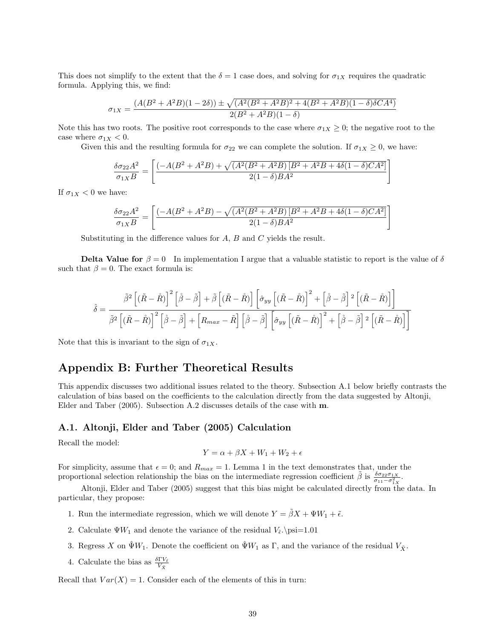This does not simplify to the extent that the  $\delta = 1$  case does, and solving for  $\sigma_{1X}$  requires the quadratic formula. Applying this, we find:

$$
\sigma_{1X} = \frac{(A(B^2 + A^2B)(1 - 2\delta)) \pm \sqrt{(A^2(B^2 + A^2B)^2 + 4(B^2 + A^2B)(1 - \delta)\delta CA^4)}}{2(B^2 + A^2B)(1 - \delta)}
$$

Note this has two roots. The positive root corresponds to the case where  $\sigma_{1X} \geq 0$ ; the negative root to the case where  $\sigma_{1X} < 0$ .

Given this and the resulting formula for  $\sigma_{22}$  we can complete the solution. If  $\sigma_{1X} \geq 0$ , we have:

$$
\frac{\delta \sigma_{22} A^2}{\sigma_{1X} B} = \left[ \frac{\left( -A(B^2 + A^2 B) + \sqrt{(A^2 (B^2 + A^2 B)) \left[ B^2 + A^2 B + 4 \delta (1 - \delta) C A^2 \right]} \right)}{2(1 - \delta) B A^2} \right]
$$

1

If  $\sigma_{1X}$  < 0 we have:

$$
\frac{\delta \sigma_{22} A^2}{\sigma_{1X} B} = \left[ \frac{\left( -A (B^2 + A^2 B) - \sqrt{(A^2 (B^2 + A^2 B) \left[B^2 + A^2 B + 4 \delta (1 - \delta) C A^2 \right]} \right)}{2 (1 - \delta) B A^2} \right]
$$

Substituting in the difference values for  $A$ ,  $B$  and  $C$  yields the result.

**Delta Value for**  $\beta = 0$  In implementation I argue that a valuable statistic to report is the value of  $\delta$ such that  $\beta = 0$ . The exact formula is:

$$
\hat{\delta} = \frac{\tilde{\beta}^2 \left[ (\tilde{R} - \mathring{R}) \right]^2 \left[ \dot{\tilde{\beta}} - \tilde{\beta} \right] + \tilde{\beta} \left[ (\tilde{R} - \mathring{R}) \right] \left[ \hat{\sigma}_{yy} \left[ (\tilde{R} - \mathring{R}) \right]^2 + \left[ \dot{\tilde{\beta}} - \tilde{\beta} \right]^2 \left[ (\tilde{R} - \mathring{R}) \right] \right]}{\tilde{\beta}^2 \left[ (\tilde{R} - \mathring{R}) \right]^2 \left[ \dot{\tilde{\beta}} - \tilde{\beta} \right] + \left[ R_{max} - \tilde{R} \right] \left[ \dot{\tilde{\beta}} - \tilde{\beta} \right] \left[ \hat{\sigma}_{yy} \left[ (\tilde{R} - \mathring{R}) \right]^2 + \left[ \dot{\tilde{\beta}} - \tilde{\beta} \right]^2 \left[ (\tilde{R} - \mathring{R}) \right] \right]}
$$

Note that this is invariant to the sign of  $\sigma_{1X}$ .

# Appendix B: Further Theoretical Results

This appendix discusses two additional issues related to the theory. Subsection A.1 below briefly contrasts the calculation of bias based on the coefficients to the calculation directly from the data suggested by Altonji, Elder and Taber (2005). Subsection A.2 discusses details of the case with m.

# A.1. Altonji, Elder and Taber (2005) Calculation

Recall the model:

$$
Y = \alpha + \beta X + W_1 + W_2 + \epsilon
$$

For simplicity, assume that  $\epsilon = 0$ ; and  $R_{max} = 1$ . Lemma 1 in the text demonstrates that, under the proportional selection relationship the bias on the intermediate regression coefficient  $\tilde{\beta}$  is  $\frac{\delta \sigma_{22} \sigma_{1X}}{\sigma_{11}-\sigma_{1X}^2}$ .

Altonji, Elder and Taber (2005) suggest that this bias might be calculated directly from the data. In particular, they propose:

- 1. Run the intermediate regression, which we will denote  $Y = \tilde{\beta}X + \Psi W_1 + \tilde{\epsilon}$ .
- 2. Calculate  $\Psi W_1$  and denote the variance of the residual  $V_{\tilde{\epsilon}} \text{ is } 1.01$
- 3. Regress X on  $\hat{\Psi}W_1$ . Denote the coefficient on  $\hat{\Psi}W_1$  as  $\Gamma$ , and the variance of the residual  $V_{\tilde{X}}$ .
- 4. Calculate the bias as  $\frac{\delta \Gamma V_{\tilde{\epsilon}}}{V_{\tilde{X}}}$

Recall that  $Var(X) = 1$ . Consider each of the elements of this in turn: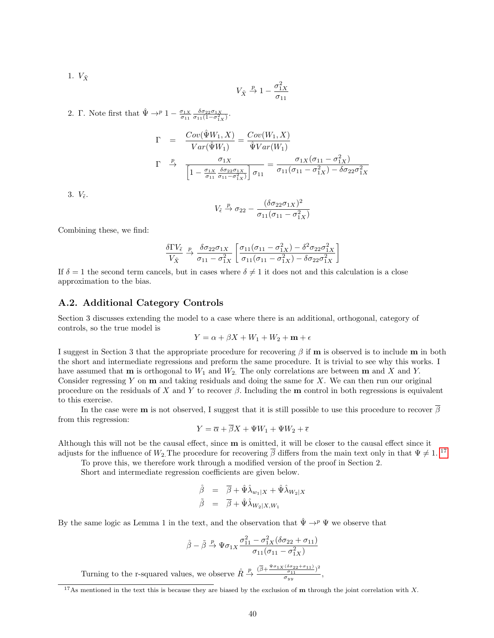1.  $V_{\tilde{X}}$ 

$$
V_{\tilde{X}} \stackrel{p}{\rightarrow} 1 - \frac{\sigma_{1X}^2}{\sigma_{11}}
$$

2. Γ. Note first that  $\hat{\Psi} \rightarrow^p 1 - \frac{\sigma_{1X}}{\sigma_{11}} \frac{\delta \sigma_{22} \sigma_{1X}}{\sigma_{11}(1 - \sigma_{1X}^2)}$ .

$$
\Gamma = \frac{Cov(\hat{\Psi}W_1, X)}{Var(\hat{\Psi}W_1)} = \frac{Cov(W_1, X)}{\hat{\Psi}Var(W_1)}
$$
\n
$$
\Gamma \stackrel{p}{\rightarrow} \frac{\sigma_{1X}}{\left[1 - \frac{\sigma_{1X}}{\sigma_{11}} \frac{\delta \sigma_{22} \sigma_{1X}}{\sigma_{11} - \sigma_{1X}^2}\right] \sigma_{11}} = \frac{\sigma_{1X}(\sigma_{11} - \sigma_{1X}^2)}{\sigma_{11}(\sigma_{11} - \sigma_{1X}^2) - \delta \sigma_{22} \sigma_{1X}^2}
$$

3.  $V_{\tilde{\epsilon}}$ .

$$
V_{\tilde{\epsilon}} \stackrel{p}{\rightarrow} \sigma_{22} - \frac{(\delta \sigma_{22} \sigma_{1X})^2}{\sigma_{11}(\sigma_{11} - \sigma_{1X}^2)}
$$

Combining these, we find:

$$
\frac{\delta \Gamma V_{\tilde{\epsilon}}}{V_{\tilde{X}}} \xrightarrow{\rho} \frac{\delta \sigma_{22} \sigma_{1X}}{\sigma_{11} - \sigma_{1X}^2} \left[ \frac{\sigma_{11}(\sigma_{11} - \sigma_{1X}^2) - \delta^2 \sigma_{22} \sigma_{1X}^2}{\sigma_{11}(\sigma_{11} - \sigma_{1X}^2) - \delta \sigma_{22} \sigma_{1X}^2} \right]
$$

If  $\delta = 1$  the second term cancels, but in cases where  $\delta \neq 1$  it does not and this calculation is a close approximation to the bias.

# A.2. Additional Category Controls

Section 3 discusses extending the model to a case where there is an additional, orthogonal, category of controls, so the true model is

$$
Y = \alpha + \beta X + W_1 + W_2 + \mathbf{m} + \epsilon
$$

I suggest in Section 3 that the appropriate procedure for recovering  $\beta$  if m is observed is to include m in both the short and intermediate regressions and preform the same procedure. It is trivial to see why this works. I have assumed that **m** is orthogonal to  $W_1$  and  $W_2$ . The only correlations are between **m** and X and Y. Consider regressing Y on  **and taking residuals and doing the same for X. We can then run our original** procedure on the residuals of X and Y to recover  $\beta$ . Including the m control in both regressions is equivalent to this exercise.

In the case were **m** is not observed, I suggest that it is still possible to use this procedure to recover  $\overline{\beta}$ from this regression:

$$
Y = \overline{\alpha} + \overline{\beta}X + \Psi W_1 + \Psi W_2 + \overline{\epsilon}
$$

Although this will not be the causal effect, since  **is omitted, it will be closer to the causal effect since it** adjusts for the influence of  $W_2$ . The procedure for recovering  $\overline{\beta}$  differs from the main text only in that  $\Psi \neq 1$ . <sup>[17](#page-40-0)</sup>

To prove this, we therefore work through a modified version of the proof in Section 2.

Short and intermediate regression coefficients are given below.

$$
\begin{array}{rcl}\n\dot{\beta} & = & \overline{\beta} + \hat{\Psi}\hat{\lambda}_{w_1|X} + \hat{\Psi}\hat{\lambda}_{W_2|X} \\
\tilde{\beta} & = & \overline{\beta} + \hat{\Psi}\hat{\lambda}_{W_2|X,W_1}\n\end{array}
$$

By the same logic as Lemma 1 in the text, and the observation that  $\hat{\Psi} \to^p \Psi$  we observe that

$$
\mathring{\beta} - \tilde{\beta} \xrightarrow{p} \Psi \sigma_{1X} \frac{\sigma_{11}^2 - \sigma_{1X}^2 (\delta \sigma_{22} + \sigma_{11})}{\sigma_{11}(\sigma_{11} - \sigma_{1X}^2)}
$$

Turning to the r-squared values, we observe  $\mathring{R} \stackrel{p}{\rightarrow} \frac{(\overline{\beta} + \frac{\Psi \sigma_{1X} (\delta \sigma_{22} + \sigma_{11})}{\sigma_{11}})^2}{\sigma_{11}}$  $\frac{\sigma_{11}}{\sigma_{yy}},$ 

<span id="page-40-0"></span><sup>&</sup>lt;sup>17</sup>As mentioned in the text this is because they are biased by the exclusion of **m** through the joint correlation with X.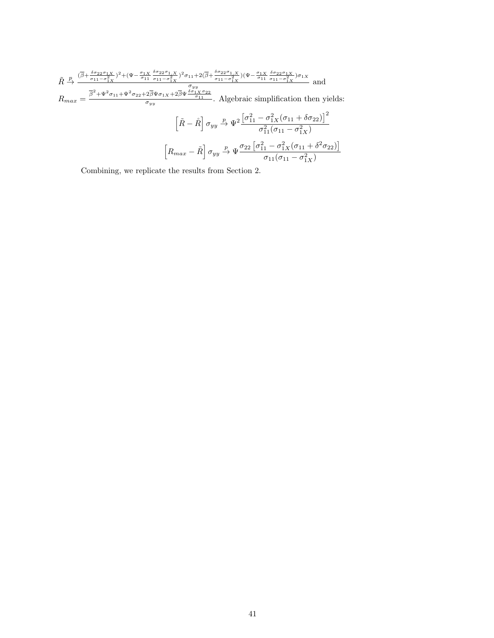$$
\tilde{R} \xrightarrow{\beta} \frac{(\overline{\beta} + \frac{\delta \sigma_{22} \sigma_{1X}}{\sigma_{11} - \sigma_{1X}^2})^2 + (\Psi - \frac{\sigma_{1X}}{\sigma_{11}} \frac{\delta \sigma_{22} \sigma_{1,X}}{\sigma_{11} - \sigma_{1X}^2})^2 \sigma_{11} + 2(\overline{\beta} + \frac{\delta \sigma_{22} \sigma_{1,X}}{\sigma_{11} - \sigma_{1X}^2}) (\Psi - \frac{\sigma_{1X}}{\sigma_{11}} \frac{\delta \sigma_{22} \sigma_{1X}}{\sigma_{11} - \sigma_{1X}^2}) \sigma_{1X}}{\sigma_{1Y}}
$$
 and  
\n
$$
R_{max} = \frac{\overline{\beta}^2 + \Psi^2 \sigma_{11} + \Psi^2 \sigma_{22} + 2\overline{\beta} \Psi \sigma_{1X} + 2\overline{\beta} \Psi \frac{\delta \sigma_{1X} \sigma_{22}}{\sigma_{11}}}{\sigma_{11}}}{\sigma_{yy}}
$$
. Algebraic simplification then yields:  
\n
$$
\left[\tilde{R} - \mathring{R}\right] \sigma_{yy} \xrightarrow{p} \Psi^2 \frac{\left[\sigma_{11}^2 - \sigma_{1X}^2 (\sigma_{11} + \delta \sigma_{22})\right]^2}{\sigma_{11}^2 (\sigma_{11} - \sigma_{1X}^2)}
$$
\n
$$
\left[R_{max} - \tilde{R}\right] \sigma_{yy} \xrightarrow{p} \Psi \frac{\sigma_{22} \left[\sigma_{11}^2 - \sigma_{1X}^2 (\sigma_{11} + \delta^2 \sigma_{22})\right]}{\sigma_{11} (\sigma_{11} - \sigma_{1X}^2)}
$$

Combining, we replicate the results from Section 2.